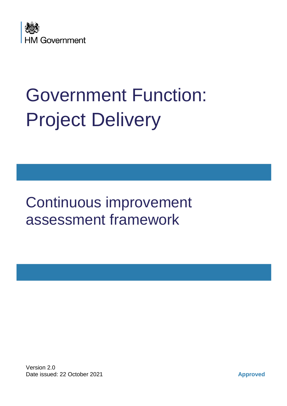

# Government Function: Project Delivery

Continuous improvement assessment framework

Version 2.0 Date issued: 22 October 2021 **Approved**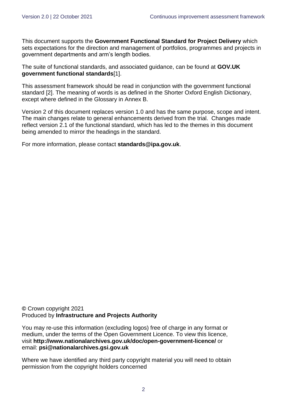This document supports the **[Government Functional Standard for Project Delivery](https://www.gov.uk/government/publications/project-delivery-functional-standard)** which sets expectations for the direction and management of portfolios, programmes and projects in government departments and arm's length bodies.

The suite of functional standards, and associated guidance, can be found at **[GOV.UK](https://www.gov.uk/government/collections/functional-standards)  [government functional standards](https://www.gov.uk/government/collections/functional-standards)**[1].

This assessment framework should be read in conjunction with the government functional standard [2]. The meaning of words is as defined in the Shorter Oxford English Dictionary, except where defined in the Glossary in Annex B.

Version 2 of this document replaces version 1.0 and has the same purpose, scope and intent. The main changes relate to general enhancements derived from the trial. Changes made reflect version 2.1 of the functional standard, which has led to the themes in this document being amended to mirror the headings in the standard.

For more information, please contact **[standards@ipa.gov.uk](mailto:standards@ipa.gov.uk)**.

#### **©** Crown copyright 2021 Produced by **[Infrastructure and Projects Authority](http://www.gov.uk/IPA)**

You may re-use this information (excluding logos) free of charge in any format or medium, under the terms of the Open Government Licence. To view this licence, visit **<http://www.nationalarchives.gov.uk/doc/open-government-licence/>** or email: **[psi@nationalarchives.gsi.gov.uk](mailto:psi@nationalarchives.gsi.gov.uk)**

Where we have identified any third party copyright material you will need to obtain permission from the copyright holders concerned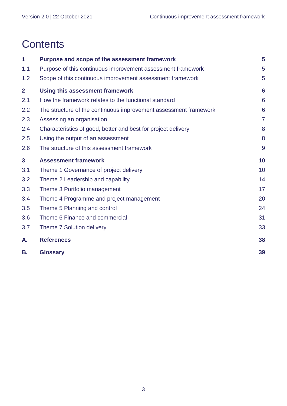# **Contents**

| 1            | Purpose and scope of the assessment framework                    | 5               |  |  |  |  |  |  |
|--------------|------------------------------------------------------------------|-----------------|--|--|--|--|--|--|
| 1.1          | Purpose of this continuous improvement assessment framework      |                 |  |  |  |  |  |  |
| 1.2          | Scope of this continuous improvement assessment framework        |                 |  |  |  |  |  |  |
| $\mathbf{2}$ | <b>Using this assessment framework</b>                           | $6\phantom{1}6$ |  |  |  |  |  |  |
| 2.1          | How the framework relates to the functional standard             | 6               |  |  |  |  |  |  |
| 2.2          | The structure of the continuous improvement assessment framework | 6               |  |  |  |  |  |  |
| 2.3          | Assessing an organisation                                        | $\overline{7}$  |  |  |  |  |  |  |
| 2.4          | Characteristics of good, better and best for project delivery    | 8               |  |  |  |  |  |  |
| 2.5          | Using the output of an assessment                                | 8               |  |  |  |  |  |  |
| 2.6          | The structure of this assessment framework                       | $\overline{9}$  |  |  |  |  |  |  |
| $\mathbf{3}$ | <b>Assessment framework</b>                                      | 10              |  |  |  |  |  |  |
| 3.1          | Theme 1 Governance of project delivery                           | 10              |  |  |  |  |  |  |
| 3.2          | Theme 2 Leadership and capability                                | 14              |  |  |  |  |  |  |
| 3.3          | Theme 3 Portfolio management                                     | 17              |  |  |  |  |  |  |
|              |                                                                  |                 |  |  |  |  |  |  |
| 3.4          | Theme 4 Programme and project management                         | 20              |  |  |  |  |  |  |
| 3.5          | Theme 5 Planning and control                                     | 24              |  |  |  |  |  |  |
| 3.6          | Theme 6 Finance and commercial                                   | 31              |  |  |  |  |  |  |
| 3.7          | Theme 7 Solution delivery                                        | 33              |  |  |  |  |  |  |
| А.           | <b>References</b>                                                | 38              |  |  |  |  |  |  |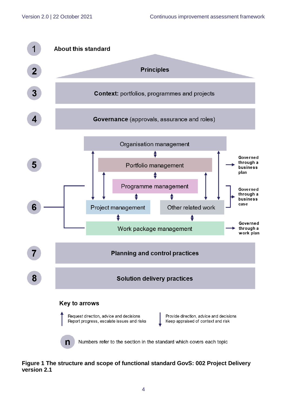

#### **Figure 1 The structure and scope of functional standard GovS: 002 Project Delivery version 2.1**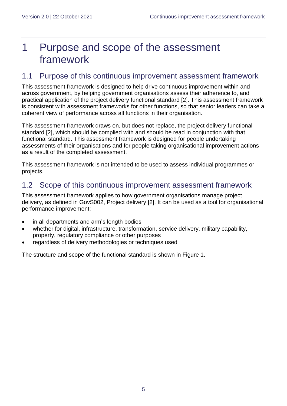# <span id="page-4-0"></span>1 Purpose and scope of the assessment framework

### <span id="page-4-1"></span>1.1 Purpose of this continuous improvement assessment framework

This assessment framework is designed to help drive continuous improvement within and across government, by helping government organisations assess their adherence to, and practical application of the project delivery functional standard [2]. This assessment framework is consistent with assessment frameworks for other functions, so that senior leaders can take a coherent view of performance across all functions in their organisation.

This assessment framework draws on, but does not replace, the project delivery functional standard [2], which should be complied with and should be read in conjunction with that functional standard. This assessment framework is designed for people undertaking assessments of their organisations and for people taking organisational improvement actions as a result of the completed assessment.

This assessment framework is not intended to be used to assess individual programmes or projects.

### <span id="page-4-2"></span>1.2 Scope of this continuous improvement assessment framework

This assessment framework applies to how government organisations manage project delivery, as defined in GovS002, Project delivery [2]. It can be used as a tool for organisational performance improvement:

- in all departments and arm's length bodies
- whether for digital, infrastructure, transformation, service delivery, military capability, property, regulatory compliance or other purposes
- regardless of delivery methodologies or techniques used

The structure and scope of the functional standard is shown in Figure 1.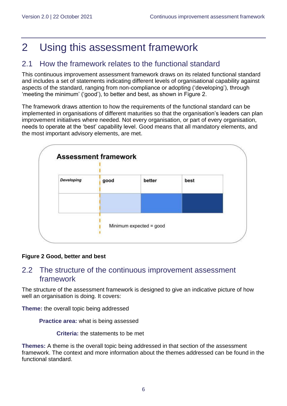# <span id="page-5-0"></span>2 Using this assessment framework

# <span id="page-5-1"></span>2.1 How the framework relates to the functional standard

This continuous improvement assessment framework draws on its related functional standard and includes a set of statements indicating different levels of organisational capability against aspects of the standard, ranging from non-compliance or adopting ('developing'), through 'meeting the minimum' ('good'), to better and best, as shown in Figure 2.

The framework draws attention to how the requirements of the functional standard can be implemented in organisations of different maturities so that the organisation's leaders can plan improvement initiatives where needed. Not every organisation, or part of every organisation, needs to operate at the 'best' capability level. Good means that all mandatory elements, and the most important advisory elements, are met.



#### **Figure 2 Good, better and best**

### <span id="page-5-2"></span>2.2 The structure of the continuous improvement assessment framework

The structure of the assessment framework is designed to give an indicative picture of how well an organisation is doing. It covers:

**Theme:** the overall topic being addressed

**Practice area:** what is being assessed

**Criteria:** the statements to be met

**Themes:** A theme is the overall topic being addressed in that section of the assessment framework. The context and more information about the themes addressed can be found in the functional standard.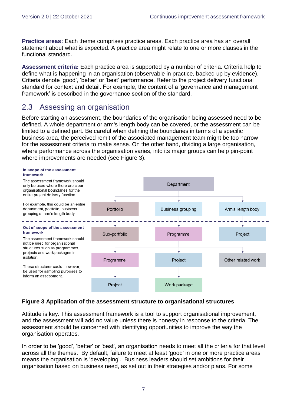**Practice areas:** Each theme comprises practice areas. Each practice area has an overall statement about what is expected. A practice area might relate to one or more clauses in the functional standard.

**Assessment criteria:** Each practice area is supported by a number of criteria. Criteria help to define what is happening in an organisation (observable in practice, backed up by evidence). Criteria denote 'good', 'better' or 'best' performance. Refer to the project delivery functional standard for context and detail. For example, the content of a 'governance and management framework' is described in the governance section of the standard.

### <span id="page-6-0"></span>2.3 Assessing an organisation

Before starting an assessment, the boundaries of the organisation being assessed need to be defined. A whole department or arm's length body can be covered, or the assessment can be limited to a defined part. Be careful when defining the boundaries in terms of a specific business area, the perceived remit of the associated management team might be too narrow for the assessment criteria to make sense. On the other hand, dividing a large organisation, where performance across the organisation varies, into its major groups can help pin-point where improvements are needed (see Figure 3).



#### **Figure 3 Application of the assessment structure to organisational structures**

Attitude is key. This assessment framework is a tool to support organisational improvement, and the assessment will add no value unless there is honesty in response to the criteria. The assessment should be concerned with identifying opportunities to improve the way the organisation operates.

In order to be 'good', 'better' or 'best', an organisation needs to meet all the criteria for that level across all the themes. By default, failure to meet at least 'good' in one or more practice areas means the organisation is 'developing'. Business leaders should set ambitions for their organisation based on business need, as set out in their strategies and/or plans. For some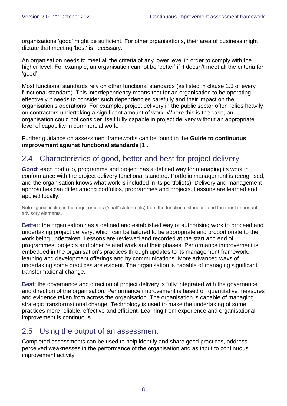organisations 'good' might be sufficient. For other organisations, their area of business might dictate that meeting 'best' is necessary.

An organisation needs to meet all the criteria of any lower level in order to comply with the higher level. For example, an organisation cannot be 'better' if it doesn't meet all the criteria for 'good'.

Most functional standards rely on other functional standards (as listed in clause 1.3 of every functional standard). This interdependency means that for an organisation to be operating effectively it needs to consider such dependencies carefully and their impact on the organisation's operations. For example, project delivery in the public sector often relies heavily on contractors undertaking a significant amount of work. Where this is the case, an organisation could not consider itself fully capable in project delivery without an appropriate level of capability in commercial work.

Further guidance on assessment frameworks can be found in the **Guide [to continuous](https://www.gov.uk/government/publications/guide-to-continuous-improvement-against-functional-standards)  [improvement against functional standards](https://www.gov.uk/government/publications/guide-to-continuous-improvement-against-functional-standards)** [1].

## <span id="page-7-0"></span>2.4 Characteristics of good, better and best for project delivery

**Good**: each portfolio, programme and project has a defined way for managing its work in conformance with the project delivery functional standard. Portfolio management is recognised, and the organisation knows what work is included in its portfolio(s). Delivery and management approaches can differ among portfolios, programmes and projects. Lessons are learned and applied locally.

Note: 'good' includes the requirements ('shall' statements) from the functional standard and the most important advisory elements.

**Better**: the organisation has a defined and established way of authorising work to proceed and undertaking project delivery, which can be tailored to be appropriate and proportionate to the work being undertaken. Lessons are reviewed and recorded at the start and end of programmes, projects and other related work and their phases. Performance improvement is embedded in the organisation's practices through updates to its management framework, learning and development offerings and by communications. More advanced ways of undertaking some practices are evident. The organisation is capable of managing significant transformational change.

**Best**: the governance and direction of project delivery is fully integrated with the governance and direction of the organisation. Performance improvement is based on quantitative measures and evidence taken from across the organisation. The organisation is capable of managing strategic transformational change. Technology is used to make the undertaking of some practices more reliable, effective and efficient. Learning from experience and organisational improvement is continuous.

### <span id="page-7-1"></span>2.5 Using the output of an assessment

Completed assessments can be used to help identify and share good practices, address perceived weaknesses in the performance of the organisation and as input to continuous improvement activity.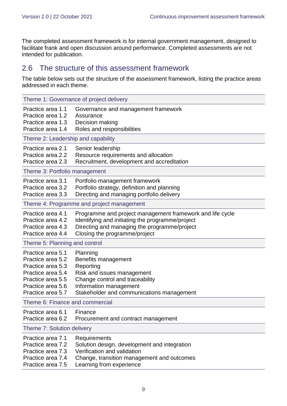The completed assessment framework is for internal government management, designed to facilitate frank and open discussion around performance. Completed assessments are not intended for publication.

### <span id="page-8-0"></span>2.6 The structure of this assessment framework

The table below sets out the structure of the assessment framework, listing the practice areas addressed in each theme.

| Theme 1: Governance of project delivery                                                                                                                                               |                                                                                                                                                                                                |  |  |  |  |  |  |  |  |
|---------------------------------------------------------------------------------------------------------------------------------------------------------------------------------------|------------------------------------------------------------------------------------------------------------------------------------------------------------------------------------------------|--|--|--|--|--|--|--|--|
| Practice area 1.1<br>Governance and management framework<br>Practice area 1.2<br>Assurance<br>Practice area 1.3<br>Decision making<br>Roles and responsibilities<br>Practice area 1.4 |                                                                                                                                                                                                |  |  |  |  |  |  |  |  |
|                                                                                                                                                                                       | Theme 2: Leadership and capability                                                                                                                                                             |  |  |  |  |  |  |  |  |
| Practice area 2.1<br>Practice area 2.2<br>Practice area 2.3                                                                                                                           | Senior leadership<br>Resource requirements and allocation<br>Recruitment, development and accreditation                                                                                        |  |  |  |  |  |  |  |  |
| Theme 3: Portfolio management                                                                                                                                                         |                                                                                                                                                                                                |  |  |  |  |  |  |  |  |
| Practice area 3.1<br>Practice area 3.2<br>Practice area 3.3                                                                                                                           | Portfolio management framework<br>Portfolio strategy, definition and planning<br>Directing and managing portfolio delivery                                                                     |  |  |  |  |  |  |  |  |
|                                                                                                                                                                                       | Theme 4: Programme and project management                                                                                                                                                      |  |  |  |  |  |  |  |  |
| Practice area 4.1<br>Practice area 4.2<br>Practice area 4.3<br>Practice area 4.4                                                                                                      | Programme and project management framework and life cycle<br>Identifying and initiating the programme/project<br>Directing and managing the programme/project<br>Closing the programme/project |  |  |  |  |  |  |  |  |
| Theme 5: Planning and control                                                                                                                                                         |                                                                                                                                                                                                |  |  |  |  |  |  |  |  |
| Practice area 5.1<br>Practice area 5.2<br>Practice area 5.3<br>Practice area 5.4<br>Practice area 5.5<br>Practice area 5.6<br>Practice area 5.7                                       | Planning<br>Benefits management<br>Reporting<br>Risk and issues management<br>Change control and traceability<br>Information management<br>Stakeholder and communications management           |  |  |  |  |  |  |  |  |
| Theme 6: Finance and commercial                                                                                                                                                       |                                                                                                                                                                                                |  |  |  |  |  |  |  |  |
| Practice area 6.1<br>Practice area 6.2                                                                                                                                                | Finance<br>Procurement and contract management                                                                                                                                                 |  |  |  |  |  |  |  |  |
| Theme 7: Solution delivery                                                                                                                                                            |                                                                                                                                                                                                |  |  |  |  |  |  |  |  |
| Practice area 7.1<br>Practice area 7.2<br>Practice area 7.3<br>Practice area 7.4<br>Practice area 7.5                                                                                 | Requirements<br>Solution design, development and integration<br>Verification and validation<br>Change, transition management and outcomes<br>Learning from experience                          |  |  |  |  |  |  |  |  |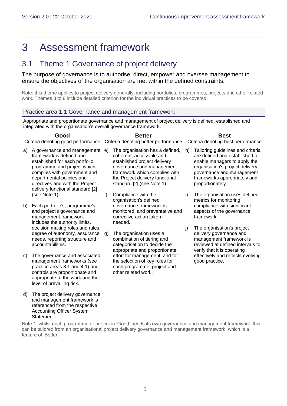Statement.

# <span id="page-9-0"></span>3 Assessment framework

# <span id="page-9-1"></span>3.1 Theme 1 Governance of project delivery

The purpose of governance is to authorise, direct, empower and oversee management to ensure the objectives of the organisation are met within the defined constraints.

Note: this theme applies to project delivery generally, including portfolios, programmes, projects and other related work. Themes 3 to 8 include detailed criterion for the individual practices to be covered.

#### Practice area 1.1 Governance and management framework

Appropriate and proportionate governance and management of project delivery is defined, established and integrated with the organisation's overall governance framework.

| Good |                                                                                                                                                                                                                                                                  | <b>Better</b> |                                                                                                                                                                                                                            |                                                                                                     | <b>Best</b>                                                                                                                                                                                                             |                                                                        |  |  |  |  |  |  |  |                                                                                                                        |  |                                                     |
|------|------------------------------------------------------------------------------------------------------------------------------------------------------------------------------------------------------------------------------------------------------------------|---------------|----------------------------------------------------------------------------------------------------------------------------------------------------------------------------------------------------------------------------|-----------------------------------------------------------------------------------------------------|-------------------------------------------------------------------------------------------------------------------------------------------------------------------------------------------------------------------------|------------------------------------------------------------------------|--|--|--|--|--|--|--|------------------------------------------------------------------------------------------------------------------------|--|-----------------------------------------------------|
|      | Criteria denoting good performance                                                                                                                                                                                                                               |               | Criteria denoting better performance                                                                                                                                                                                       |                                                                                                     | Criteria denoting best performance                                                                                                                                                                                      |                                                                        |  |  |  |  |  |  |  |                                                                                                                        |  |                                                     |
| a)   | A governance and management e)<br>framework is defined and<br>established for each portfolio,<br>programme and project which<br>complies with government and<br>departmental policies and<br>directives and with the Project<br>delivery functional standard [2] |               | The organisation has a defined,<br>coherent, accessible and<br>established project delivery<br>governance and management<br>framework which complies with<br>the Project delivery functional<br>standard [2] (see Note 1). | h)                                                                                                  | Tailoring guidelines and criteria<br>are defined and established to<br>enable managers to apply the<br>organisation's project delivery<br>governance and management<br>frameworks appropriately and<br>proportionately. |                                                                        |  |  |  |  |  |  |  |                                                                                                                        |  |                                                     |
|      | (see Note 1).                                                                                                                                                                                                                                                    | f)            | Compliance with the<br>organisation's defined                                                                                                                                                                              | i)                                                                                                  | The organisation uses defined<br>metrics for monitoring                                                                                                                                                                 |                                                                        |  |  |  |  |  |  |  |                                                                                                                        |  |                                                     |
| b)   | Each portfolio's, programme's<br>and project's governance and<br>management framework<br>includes the authority limits,                                                                                                                                          |               |                                                                                                                                                                                                                            | governance framework is<br>monitored, and preventative and<br>corrective action taken if<br>needed. |                                                                                                                                                                                                                         | compliance with significant<br>aspects of the governance<br>framework. |  |  |  |  |  |  |  |                                                                                                                        |  |                                                     |
|      | decision making roles and rules,<br>degree of autonomy, assurance<br>needs, reporting structure and<br>accountabilities.                                                                                                                                         | g)            | The organisation uses a<br>combination of tiering and<br>categorisation to decide the<br>appropriate and proportionate                                                                                                     | j)                                                                                                  | The organisation's project<br>delivery governance and<br>management framework is<br>reviewed at defined intervals to<br>verify that it is operating                                                                     |                                                                        |  |  |  |  |  |  |  |                                                                                                                        |  |                                                     |
| C)   | The governance and associated<br>management frameworks (see<br>practice areas 3.1 and 4.1) and<br>controls are proportionate and<br>appropriate to the work and the<br>level of prevailing risk.                                                                 |               |                                                                                                                                                                                                                            |                                                                                                     |                                                                                                                                                                                                                         |                                                                        |  |  |  |  |  |  |  | effort for management, and for<br>the selection of key roles for<br>each programme, project and<br>other related work. |  | effectively and reflects evolving<br>good practice. |
| d)   | The project delivery governance<br>and management framework is<br>referenced from the respective<br><b>Accounting Officer System</b>                                                                                                                             |               |                                                                                                                                                                                                                            |                                                                                                     |                                                                                                                                                                                                                         |                                                                        |  |  |  |  |  |  |  |                                                                                                                        |  |                                                     |

Note 1: whilst each programme or project in 'Good' needs its own governance and management framework, this can be tailored from an organisational project delivery governance and management framework, which is a feature of 'Better'.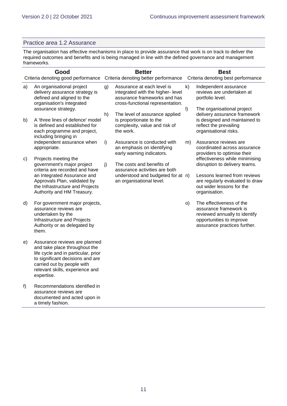#### Practice area 1.2 Assurance

The organisation has effective mechanisms in place to provide assurance that work is on track to deliver the required outcomes and benefits and is being managed in line with the defined governance and management frameworks.

|    | Good<br>Criteria denoting good performance                                                                                                                                                                               |    | <b>Better</b><br>Criteria denoting better performance                                                                               | <b>Best</b><br>Criteria denoting best performance |                                                                                                                                                 |  |
|----|--------------------------------------------------------------------------------------------------------------------------------------------------------------------------------------------------------------------------|----|-------------------------------------------------------------------------------------------------------------------------------------|---------------------------------------------------|-------------------------------------------------------------------------------------------------------------------------------------------------|--|
| a) | An organisational project<br>delivery assurance strategy is<br>defined and aligned to the<br>organisation's integrated<br>assurance strategy.                                                                            | g) | Assurance at each level is<br>integrated with the higher- level<br>assurance frameworks and has<br>cross-functional representation. | $\mathsf{k}$<br>$\vert$                           | Independent assurance<br>reviews are undertaken at<br>portfolio level.<br>The organisational project                                            |  |
| b) | A 'three lines of defence' model<br>is defined and established for<br>each programme and project,<br>including bringing in                                                                                               | h) | The level of assurance applied<br>is proportionate to the<br>complexity, value and risk of<br>the work.                             |                                                   | delivery assurance framework<br>is designed and maintained to<br>reflect the prevailing<br>organisational risks.                                |  |
|    | independent assurance when<br>appropriate.                                                                                                                                                                               | i) | Assurance is conducted with<br>an emphasis on identifying<br>early warning indicators.                                              | m)                                                | Assurance reviews are<br>coordinated across assurance<br>providers to optimise their                                                            |  |
| C) | Projects meeting the<br>government's major project<br>criteria are recorded and have                                                                                                                                     | j) | The costs and benefits of<br>assurance activities are both                                                                          |                                                   | effectiveness while minimising<br>disruption to delivery teams.                                                                                 |  |
|    | an Integrated Assurance and<br>Approvals Plan, validated by<br>the Infrastructure and Projects<br>Authority and HM Treasury.                                                                                             |    | understood and budgeted for at n)<br>an organisational level.                                                                       |                                                   | Lessons learned from reviews<br>are regularly evaluated to draw<br>out wider lessons for the<br>organisation.                                   |  |
| d) | For government major projects,<br>assurance reviews are<br>undertaken by the<br>Infrastructure and Projects<br>Authority or as delegated by<br>them.                                                                     |    |                                                                                                                                     | O)                                                | The effectiveness of the<br>assurance framework is<br>reviewed annually to identify<br>opportunities to improve<br>assurance practices further. |  |
| e) | Assurance reviews are planned<br>and take place throughout the<br>life cycle and in particular, prior<br>to significant decisions and are<br>carried out by people with<br>relevant skills, experience and<br>expertise. |    |                                                                                                                                     |                                                   |                                                                                                                                                 |  |
| f) | Recommendations identified in<br>assurance reviews are<br>documented and acted upon in<br>a timely fashion.                                                                                                              |    |                                                                                                                                     |                                                   |                                                                                                                                                 |  |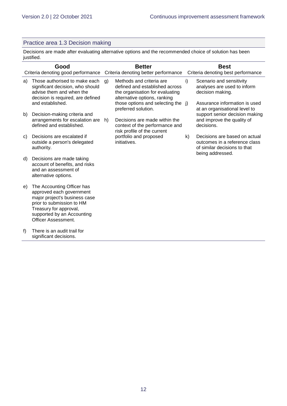#### Practice area 1.3 Decision making

Decisions are made after evaluating alternative options and the recommended choice of solution has been justified.

|    | Good<br>Criteria denoting good performance                                                                                                                                                                 | <b>Better</b><br>Criteria denoting better performance |                                                                                                                               |              | <b>Best</b><br>Criteria denoting best performance                                                                  |
|----|------------------------------------------------------------------------------------------------------------------------------------------------------------------------------------------------------------|-------------------------------------------------------|-------------------------------------------------------------------------------------------------------------------------------|--------------|--------------------------------------------------------------------------------------------------------------------|
| a) | Those authorised to make each<br>significant decision, who should<br>advise them and when the<br>decision is required, are defined                                                                         | g)                                                    | Methods and criteria are<br>defined and established across<br>the organisation for evaluating<br>alternative options, ranking | i)           | Scenario and sensitivity<br>analyses are used to inform<br>decision making.                                        |
|    | and established.                                                                                                                                                                                           |                                                       | those options and selecting the j)<br>preferred solution.                                                                     |              | Assurance information is used<br>at an organisational level to                                                     |
| b) | Decision-making criteria and<br>arrangements for escalation are<br>defined and established.                                                                                                                | h)                                                    | Decisions are made within the<br>context of the performance and<br>risk profile of the current                                |              | support senior decision making<br>and improve the quality of<br>decisions.                                         |
| C) | Decisions are escalated if<br>outside a person's delegated<br>authority.                                                                                                                                   |                                                       | portfolio and proposed<br>initiatives.                                                                                        | $\mathsf{k}$ | Decisions are based on actual<br>outcomes in a reference class<br>of similar decisions to that<br>being addressed. |
| d) | Decisions are made taking<br>account of benefits, and risks<br>and an assessment of<br>alternative options.                                                                                                |                                                       |                                                                                                                               |              |                                                                                                                    |
| e) | The Accounting Officer has<br>approved each government<br>major project's business case<br>prior to submission to HM<br>Treasury for approval,<br>supported by an Accounting<br><b>Officer Assessment.</b> |                                                       |                                                                                                                               |              |                                                                                                                    |
| f) | There is an audit trail for<br>significant decisions.                                                                                                                                                      |                                                       |                                                                                                                               |              |                                                                                                                    |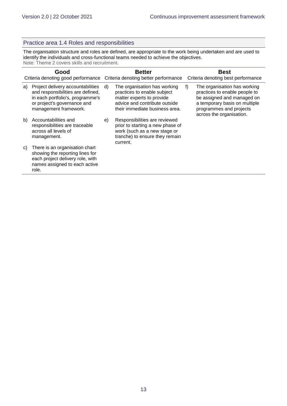#### Practice area 1.4 Roles and responsibilities

The organisation structure and roles are defined, are appropriate to the work being undertaken and are used to identify the individuals and cross-functional teams needed to achieve the objectives. Note: Theme 2 covers skills and recruitment.

| Good<br>Criteria denoting good performance |                                                                                                                                                                    | <b>Better</b><br>Criteria denoting better performance |                                                                                                                                                             |    | <b>Best</b><br>Criteria denoting best performance                                                                                                                                   |  |
|--------------------------------------------|--------------------------------------------------------------------------------------------------------------------------------------------------------------------|-------------------------------------------------------|-------------------------------------------------------------------------------------------------------------------------------------------------------------|----|-------------------------------------------------------------------------------------------------------------------------------------------------------------------------------------|--|
| a)                                         | Project delivery accountabilities<br>and responsibilities are defined,<br>in each portfolio's, programme's<br>or project's governance and<br>management framework. | d)                                                    | The organisation has working<br>practices to enable subject<br>matter experts to provide<br>advice and contribute outside<br>their immediate business area. | f) | The organisation has working<br>practices to enable people to<br>be assigned and managed on<br>a temporary basis on multiple<br>programmes and projects<br>across the organisation. |  |
| b)                                         | Accountabilities and<br>responsibilities are traceable<br>across all levels of<br>management.                                                                      | e)                                                    | Responsibilities are reviewed<br>prior to starting a new phase of<br>work (such as a new stage or<br>tranche) to ensure they remain<br>current.             |    |                                                                                                                                                                                     |  |
| C)                                         | There is an organisation chart<br>showing the reporting lines for<br>each project delivery role, with<br>names assigned to each active<br>role.                    |                                                       |                                                                                                                                                             |    |                                                                                                                                                                                     |  |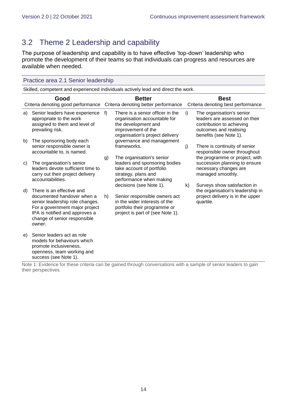# <span id="page-13-0"></span>3.2 Theme 2 Leadership and capability

The purpose of leadership and capability is to have effective 'top-down' leadership who promote the development of their teams so that individuals can progress and resources are available when needed.

|    | Practice area 2.1 Senior leadership                                                                                                                                                                      |    |                                                                                                                                                  |    |                                                                                                                                             |  |  |  |
|----|----------------------------------------------------------------------------------------------------------------------------------------------------------------------------------------------------------|----|--------------------------------------------------------------------------------------------------------------------------------------------------|----|---------------------------------------------------------------------------------------------------------------------------------------------|--|--|--|
|    | Skilled, competent and experienced individuals actively lead and direct the work.                                                                                                                        |    |                                                                                                                                                  |    |                                                                                                                                             |  |  |  |
|    | Good<br>Criteria denoting good performance                                                                                                                                                               |    | <b>Better</b><br>Criteria denoting better performance                                                                                            |    | <b>Best</b><br>Criteria denoting best performance                                                                                           |  |  |  |
| a) | Senior leaders have experience<br>appropriate to the work<br>assigned to them and level of<br>prevailing risk.                                                                                           | f  | There is a senior officer in the<br>organisation accountable for<br>the development and<br>improvement of the<br>organisation's project delivery | i) | The organisation's senior<br>leaders are assessed on their<br>contribution to achieving<br>outcomes and realising<br>benefits (see Note 1). |  |  |  |
| b) | The sponsoring body each<br>senior responsible owner is<br>accountable to, is named.                                                                                                                     |    | governance and management<br>frameworks.<br>The organisation's senior                                                                            | j) | There is continuity of senior<br>responsible owner throughout<br>the programme or project, with                                             |  |  |  |
| C) | The organisation's senior<br>leaders devote sufficient time to<br>carry out their project delivery<br>accountabilities.                                                                                  | g) | leaders and sponsoring bodies<br>take account of portfolio<br>strategy, plans and<br>performance when making<br>decisions (see Note 1).          | k) | succession planning to ensure<br>necessary changes are<br>managed smoothly.<br>Surveys show satisfaction in                                 |  |  |  |
| d) | There is an effective and<br>documented handover when a<br>senior leadership role changes.<br>For a government major project<br>IPA is notified and approves a<br>change of senior responsible<br>owner. | h) | Senior responsible owners act<br>in the wider interests of the<br>portfolio their programme or<br>project is part of (see Note 1).               |    | the organisation's leadership in<br>project delivery is in the upper<br>quartile.                                                           |  |  |  |
| e) | Senior leaders act as role<br>models for behaviours which<br>promote inclusiveness,<br>openness, team working and<br>success (see Note 1).                                                               |    |                                                                                                                                                  |    |                                                                                                                                             |  |  |  |

Note 1: Evidence for these criteria can be gained through conversations with a sample of senior leaders to gain their perspectives.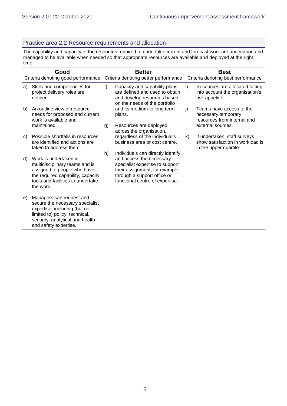#### Practice area 2.2 Resource requirements and allocation

The capability and capacity of the resources required to undertake current and forecast work are understood and managed to be available when needed so that appropriate resources are available and deployed at the right time.

| Good |                                                                                                                                                                                            | <b>Better</b> |                                                                                                                                                                                                     | <b>Best</b> |                                                                                                     |  |
|------|--------------------------------------------------------------------------------------------------------------------------------------------------------------------------------------------|---------------|-----------------------------------------------------------------------------------------------------------------------------------------------------------------------------------------------------|-------------|-----------------------------------------------------------------------------------------------------|--|
|      | Criteria denoting good performance                                                                                                                                                         |               | Criteria denoting better performance                                                                                                                                                                |             | Criteria denoting best performance                                                                  |  |
| a)   | Skills and competencies for<br>project delivery roles are<br>defined.                                                                                                                      | f             | Capacity and capability plans<br>are defined and used to obtain<br>and develop resources based<br>on the needs of the portfolio                                                                     | i)          | Resources are allocated taking<br>into account the organisation's<br>risk appetite.                 |  |
| b)   | An outline view of resource<br>needs for proposed and current<br>work is available and<br>maintained.                                                                                      | g)            | and its medium to long term<br>plans.<br>Resources are deployed                                                                                                                                     | j)          | Teams have access to the<br>necessary temporary<br>resources from internal and<br>external sources. |  |
|      |                                                                                                                                                                                            |               | across the organisation,                                                                                                                                                                            |             |                                                                                                     |  |
| C)   | Possible shortfalls in resources<br>are identified and actions are<br>taken to address them.                                                                                               |               | regardless of the individual's<br>business area or cost centre.                                                                                                                                     | k)          | If undertaken, staff surveys<br>show satisfaction in workload is<br>in the upper quartile.          |  |
| d)   | Work is undertaken in<br>multidisciplinary teams and is<br>assigned to people who have<br>the required capability, capacity,<br>tools and facilities to undertake<br>the work.             | h)            | Individuals can directly identify<br>and access the necessary<br>specialist expertise to support<br>their assignment, for example<br>through a support office or<br>functional centre of expertise. |             |                                                                                                     |  |
| e)   | Managers can request and<br>secure the necessary specialist<br>expertise, including (but not<br>limited to) policy, technical,<br>security, analytical and health<br>and safety expertise. |               |                                                                                                                                                                                                     |             |                                                                                                     |  |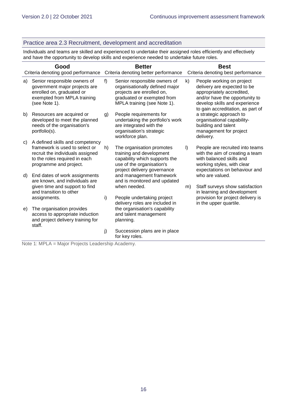#### Practice area 2.3 Recruitment, development and accreditation

Individuals and teams are skilled and experienced to undertake their assigned roles efficiently and effectively and have the opportunity to develop skills and experience needed to undertake future roles.

| Good         |                                                                                                                                                                  | <b>Better</b> |                                                                                                                                                          |         | <b>Best</b>                                                                                                                                                                                   |  |  |
|--------------|------------------------------------------------------------------------------------------------------------------------------------------------------------------|---------------|----------------------------------------------------------------------------------------------------------------------------------------------------------|---------|-----------------------------------------------------------------------------------------------------------------------------------------------------------------------------------------------|--|--|
|              | Criteria denoting good performance                                                                                                                               |               | Criteria denoting better performance                                                                                                                     |         | Criteria denoting best performance                                                                                                                                                            |  |  |
| a)           | Senior responsible owners of<br>government major projects are<br>enrolled on, graduated or<br>exempted from MPLA training<br>(see Note 1).                       | f)            | Senior responsible owners of<br>organisationally defined major<br>projects are enrolled on,<br>graduated or exempted from<br>MPLA training (see Note 1). | k)      | People working on project<br>delivery are expected to be<br>appropriately accredited,<br>and/or have the opportunity to<br>develop skills and experience<br>to gain accreditation, as part of |  |  |
| b)           | Resources are acquired or<br>developed to meet the planned<br>needs of the organisation's<br>portfolio(s).                                                       | g)            | People requirements for<br>undertaking the portfolio's work<br>are integrated with the<br>organisation's strategic<br>workforce plan.                    |         | a strategic approach to<br>organisational capability-<br>building and talent<br>management for project<br>delivery.                                                                           |  |  |
| C)           | A defined skills and competency<br>framework is used to select or<br>recruit the individuals assigned<br>to the roles required in each<br>programme and project. | h)            | The organisation promotes<br>training and development<br>capability which supports the<br>use of the organisation's<br>project delivery governance       | $\vert$ | People are recruited into teams<br>with the aim of creating a team<br>with balanced skills and<br>working styles, with clear<br>expectations on behaviour and                                 |  |  |
| $\mathsf{d}$ | End dates of work assignments<br>are known, and individuals are<br>given time and support to find<br>and transition to other                                     |               | and management framework<br>and is monitored and updated<br>when needed.                                                                                 | m)      | who are valued.<br>Staff surveys show satisfaction<br>in learning and development                                                                                                             |  |  |
|              | assignments.                                                                                                                                                     | i)            | People undertaking project<br>delivery roles are included in                                                                                             |         | provision for project delivery is<br>in the upper quartile.                                                                                                                                   |  |  |
| e)           | The organisation provides<br>access to appropriate induction<br>and project delivery training for<br>staff.                                                      |               | the organisation's capability<br>and talent management<br>planning.                                                                                      |         |                                                                                                                                                                                               |  |  |
|              | N                                                                                                                                                                | j)            | Succession plans are in place<br>for key roles.                                                                                                          |         |                                                                                                                                                                                               |  |  |

Note 1: MPLA = Major Projects Leadership Academy.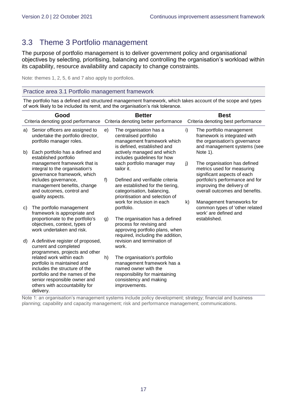# <span id="page-16-0"></span>3.3 Theme 3 Portfolio management

The purpose of portfolio management is to deliver government policy and organisational objectives by selecting, prioritising, balancing and controlling the organisation's workload within its capability, resource availability and capacity to change constraints.

Note: themes 1, 2, 5, 6 and 7 also apply to portfolios.

#### Practice area 3.1 Portfolio management framework

The portfolio has a defined and structured management framework, which takes account of the scope and types of work likely to be included its remit, and the organisation's risk tolerance.

| Good<br>Criteria denoting good performance |                                                                                                                                                                                                           | <b>Better</b><br>Criteria denoting better performance                                                                                      |                                                                                                                                                                 | <b>Best</b><br>Criteria denoting best performance |                                                                                                                          |  |
|--------------------------------------------|-----------------------------------------------------------------------------------------------------------------------------------------------------------------------------------------------------------|--------------------------------------------------------------------------------------------------------------------------------------------|-----------------------------------------------------------------------------------------------------------------------------------------------------------------|---------------------------------------------------|--------------------------------------------------------------------------------------------------------------------------|--|
| a)                                         | Senior officers are assigned to<br>undertake the portfolio director,<br>portfolio manager roles.                                                                                                          | e)                                                                                                                                         | The organisation has a<br>centralised portfolio<br>management framework which<br>is defined, established and                                                    | i)                                                | The portfolio management<br>framework is integrated with<br>the organisation's governance<br>and management systems (see |  |
| b)                                         | Each portfolio has a defined and<br>established portfolio<br>management framework that is<br>integral to the organisation's<br>governance framework, which                                                |                                                                                                                                            | actively managed and which<br>includes guidelines for how<br>each portfolio manager may<br>tailor it.                                                           | j)                                                | Note 1).<br>The organisation has defined<br>metrics used for measuring<br>significant aspects of each                    |  |
|                                            | includes governance,<br>management benefits, change<br>and outcomes, control and<br>quality aspects.                                                                                                      | f)<br>Defined and verifiable criteria<br>are established for the tiering,<br>categorisation, balancing,<br>prioritisation and selection of |                                                                                                                                                                 |                                                   | portfolio's performance and for<br>improving the delivery of<br>overall outcomes and benefits.                           |  |
| C)                                         | The portfolio management<br>framework is appropriate and                                                                                                                                                  |                                                                                                                                            | work for inclusion in each<br>portfolio.                                                                                                                        | k)                                                | Management frameworks for<br>common types of 'other related<br>work' are defined and                                     |  |
|                                            | proportionate to the portfolio's<br>objectives, context, types of<br>work undertaken and risk.                                                                                                            | g)                                                                                                                                         | The organisation has a defined<br>process for revising and<br>approving portfolio plans, when<br>required, including the addition,                              |                                                   | established.                                                                                                             |  |
| d)                                         | A definitive register of proposed,<br>current and completed<br>programmes, projects and other                                                                                                             |                                                                                                                                            | revision and termination of<br>work.                                                                                                                            |                                                   |                                                                                                                          |  |
|                                            | related work within each<br>portfolio is maintained and<br>includes the structure of the<br>portfolio and the names of the<br>senior responsible owner and<br>others with accountability for<br>delivery. | h)                                                                                                                                         | The organisation's portfolio<br>management framework has a<br>named owner with the<br>responsibility for maintaining<br>consistency and making<br>improvements. |                                                   |                                                                                                                          |  |

Note 1: an organisation's management systems include policy development; strategy; financial and business planning; capability and capacity management; risk and performance management; communications.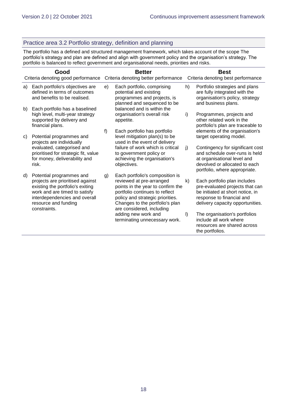#### Practice area 3.2 Portfolio strategy, definition and planning

The portfolio has a defined and structured management framework, which takes account of the scope The portfolio's strategy and plan are defined and align with government policy and the organisation's strategy. The portfolio is balanced to reflect government and organisational needs, priorities and risks.

| Good |                                                                                                                                                                                                            | <b>Better</b> |                                                                                                                                                                                                                                        | <b>Best</b> |                                                                                                                                                                      |  |
|------|------------------------------------------------------------------------------------------------------------------------------------------------------------------------------------------------------------|---------------|----------------------------------------------------------------------------------------------------------------------------------------------------------------------------------------------------------------------------------------|-------------|----------------------------------------------------------------------------------------------------------------------------------------------------------------------|--|
|      | Criteria denoting good performance                                                                                                                                                                         |               | Criteria denoting better performance                                                                                                                                                                                                   |             | Criteria denoting best performance                                                                                                                                   |  |
| a)   | Each portfolio's objectives are<br>defined in terms of outcomes<br>and benefits to be realised.                                                                                                            | e)            | Each portfolio, comprising<br>potential and existing<br>programmes and projects, is<br>planned and sequenced to be                                                                                                                     | h)          | Portfolio strategies and plans<br>are fully integrated with the<br>organisation's policy, strategy<br>and business plans.                                            |  |
| b)   | Each portfolio has a baselined<br>high level, multi-year strategy<br>supported by delivery and<br>financial plans.                                                                                         |               | balanced and is within the<br>organisation's overall risk<br>appetite.                                                                                                                                                                 | i)          | Programmes, projects and<br>other related work in the<br>portfolio's plan are traceable to                                                                           |  |
| C)   | Potential programmes and<br>projects are individually                                                                                                                                                      | f)            | Each portfolio has portfolio<br>level mitigation plan(s) to be<br>used in the event of delivery                                                                                                                                        |             | elements of the organisation's<br>target operating model.                                                                                                            |  |
|      | evaluated, categorised and<br>prioritised for strategic fit, value<br>for money, deliverability and<br>risk.                                                                                               |               | failure of work which is critical<br>to government policy or<br>achieving the organisation's<br>objectives.                                                                                                                            | j)          | Contingency for significant cost<br>and schedule over-runs is held<br>at organisational level and<br>devolved or allocated to each<br>portfolio, where appropriate.  |  |
| d)   | Potential programmes and<br>projects are prioritised against<br>existing the portfolio's exiting<br>work and are timed to satisfy<br>interdependencies and overall<br>resource and funding<br>constraints. | g)            | Each portfolio's composition is<br>reviewed at pre-arranged<br>points in the year to confirm the<br>portfolio continues to reflect<br>policy and strategic priorities.<br>Changes to the portfolio's plan<br>are considered, including | k)          | Each portfolio plan includes<br>pre-evaluated projects that can<br>be initiated at short notice, in<br>response to financial and<br>delivery capacity opportunities. |  |
|      |                                                                                                                                                                                                            |               | adding new work and<br>terminating unnecessary work.                                                                                                                                                                                   | $\vert$     | The organisation's portfolios<br>include all work where<br>resources are shared across<br>the portfolios.                                                            |  |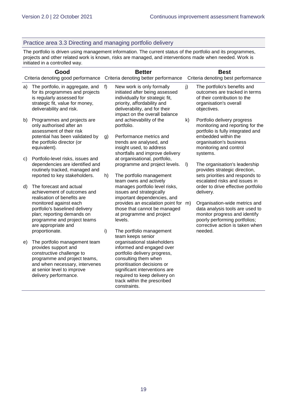#### Practice area 3.3 Directing and managing portfolio delivery

The portfolio is driven using management information. The current status of the portfolio and its programmes, projects and other related work is known, risks are managed, and interventions made when needed. Work is initiated in a controlled way.

| Good |                                                                                                                                                                                                             | <b>Better</b> |                                                                                                                                                                                                                                                                 | <b>Best</b> |                                                                                                                                                                                              |  |
|------|-------------------------------------------------------------------------------------------------------------------------------------------------------------------------------------------------------------|---------------|-----------------------------------------------------------------------------------------------------------------------------------------------------------------------------------------------------------------------------------------------------------------|-------------|----------------------------------------------------------------------------------------------------------------------------------------------------------------------------------------------|--|
|      | Criteria denoting good performance                                                                                                                                                                          |               | Criteria denoting better performance                                                                                                                                                                                                                            |             | Criteria denoting best performance                                                                                                                                                           |  |
| a)   | The portfolio, in aggregate, and<br>for its programmes and projects<br>is regularly assessed for<br>strategic fit, value for money,<br>deliverability and risk.                                             | f)            | New work is only formally<br>initiated after being assessed<br>individually for strategic fit,<br>priority, affordability and<br>deliverability, and for their<br>impact on the overall balance                                                                 | j)          | The portfolio's benefits and<br>outcomes are tracked in terms<br>of their contribution to the<br>organisation's overall<br>objectives.                                                       |  |
| b)   | Programmes and projects are<br>only authorised after an<br>assessment of their risk<br>potential has been validated by<br>the portfolio director (or<br>equivalent).                                        | g)            | and achievability of the<br>portfolio.<br>Performance metrics and<br>trends are analysed, and<br>insight used, to address<br>shortfalls and improve delivery                                                                                                    | k)          | Portfolio delivery progress<br>monitoring and reporting for the<br>portfolio is fully integrated and<br>embedded within the<br>organisation's business<br>monitoring and control<br>systems. |  |
| C)   | Portfolio-level risks, issues and<br>dependencies are identified and<br>routinely tracked, managed and<br>reported to key stakeholders.                                                                     | h)            | at organisational, portfolio,<br>programme and project levels.<br>The portfolio management<br>team owns and actively                                                                                                                                            | $\vert$     | The organisation's leadership<br>provides strategic direction,<br>sets priorities and responds to<br>escalated risks and issues in                                                           |  |
| d)   | The forecast and actual<br>achievement of outcomes and<br>realisation of benefits are                                                                                                                       |               | manages portfolio level risks,<br>issues and strategically<br>important dependencies, and                                                                                                                                                                       |             | order to drive effective portfolio<br>delivery.                                                                                                                                              |  |
|      | monitored against each<br>portfolio's baselined delivery<br>plan; reporting demands on<br>programme and project teams<br>are appropriate and                                                                |               | provides an escalation point for m)<br>those that cannot be managed<br>at programme and project<br>levels.                                                                                                                                                      |             | Organisation-wide metrics and<br>data analysis tools are used to<br>monitor progress and identify<br>poorly performing portfolios;<br>corrective action is taken when                        |  |
|      | proportionate.                                                                                                                                                                                              | i)            | The portfolio management<br>team keeps senior                                                                                                                                                                                                                   |             | needed.                                                                                                                                                                                      |  |
| e)   | The portfolio management team<br>provides support and<br>constructive challenge to<br>programme and project teams,<br>and when necessary, intervenes<br>at senior level to improve<br>delivery performance. |               | organisational stakeholders<br>informed and engaged over<br>portfolio delivery progress,<br>consulting them when<br>prioritisation decisions or<br>significant interventions are<br>required to keep delivery on<br>track within the prescribed<br>constraints. |             |                                                                                                                                                                                              |  |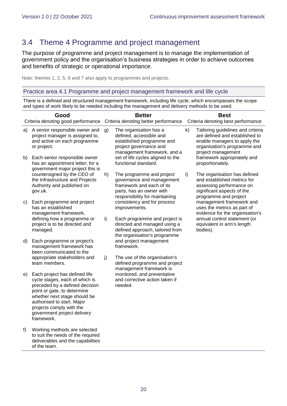# <span id="page-19-0"></span>3.4 Theme 4 Programme and project management

The purpose of programme and project management is to manage the implementation of government policy and the organisation's business strategies in order to achieve outcomes and benefits of strategic or operational importance.

Note: themes 1, 2, 5, 6 and 7 also apply to programmes and projects.

Practice area 4.1 Programme and project management framework and life cycle

There is a defined and structured management framework, including life cycle, which encompasses the scope and types of work likely to be needed including the management and delivery methods to be used.

| Good     |                                                                                                                                                                                                                                                                         | <b>Better</b> |                                                                                                                                                                              |         | <b>Best</b>                                                                                                                                                                              |  |  |
|----------|-------------------------------------------------------------------------------------------------------------------------------------------------------------------------------------------------------------------------------------------------------------------------|---------------|------------------------------------------------------------------------------------------------------------------------------------------------------------------------------|---------|------------------------------------------------------------------------------------------------------------------------------------------------------------------------------------------|--|--|
|          | Criteria denoting good performance                                                                                                                                                                                                                                      |               | Criteria denoting better performance                                                                                                                                         |         | Criteria denoting best performance                                                                                                                                                       |  |  |
| a)<br>b) | A senior responsible owner and<br>project manager is assigned to,<br>and active on each programme<br>or project.<br>Each senior responsible owner                                                                                                                       | g)            | The organisation has a<br>defined, accessible and<br>established programme and<br>project governance and<br>management framework, and a<br>set of life cycles aligned to the | k)      | Tailoring guidelines and criteria<br>are defined and established to<br>enable managers to apply the<br>organisation's programme and<br>project management<br>framework appropriately and |  |  |
|          | has an appointment letter; for a<br>government major project this is                                                                                                                                                                                                    |               | functional standard.                                                                                                                                                         |         | proportionately.                                                                                                                                                                         |  |  |
|          | countersigned by the CEO of<br>the Infrastructure and Projects<br>Authority and published on<br>gov.uk.                                                                                                                                                                 | h)            | The programme and project<br>governance and management<br>framework and each of its<br>parts, has an owner with<br>responsibility for maintaining                            | $\vert$ | The organisation has defined<br>and established metrics for<br>assessing performance on<br>significant aspects of the<br>programme and project                                           |  |  |
| C)       | Each programme and project<br>has an established<br>management framework,                                                                                                                                                                                               |               | consistency and for process<br>improvements.                                                                                                                                 |         | management framework and<br>uses the metrics as part of<br>evidence for the organisation's                                                                                               |  |  |
|          | defining how a programme or<br>project is to be directed and<br>managed.                                                                                                                                                                                                | i)            | Each programme and project is<br>directed and managed using a<br>defined approach, tailored from<br>the organisation's programme                                             |         | annual control statement (or<br>equivalent in arm's length<br>bodies).                                                                                                                   |  |  |
| d)       | Each programme or project's<br>management framework has<br>been communicated to the                                                                                                                                                                                     |               | and project management<br>framework.                                                                                                                                         |         |                                                                                                                                                                                          |  |  |
|          | appropriate stakeholders and<br>team members.                                                                                                                                                                                                                           | j)            | The use of the organisation's<br>defined programme and project<br>management framework is                                                                                    |         |                                                                                                                                                                                          |  |  |
| e)       | Each project has defined life<br>cycle stages, each of which is<br>preceded by a defined decision<br>point or gate, to determine<br>whether next stage should be<br>authorised to start. Major<br>projects comply with the<br>government project delivery<br>framework. |               | monitored, and preventative<br>and corrective action taken if<br>needed.                                                                                                     |         |                                                                                                                                                                                          |  |  |
| f)       | Working methods are selected<br>to suit the needs of the required<br>deliverables and the capabilities<br>of the team.                                                                                                                                                  |               |                                                                                                                                                                              |         |                                                                                                                                                                                          |  |  |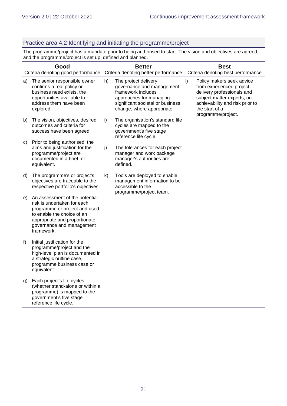#### Practice area 4.2 Identifying and initiating the programme/project

The programme/project has a mandate prior to being authorised to start. The vision and objectives are agreed, and the programme/project is set up, defined and planned.

| Good<br>Criteria denoting good performance |                                                                                                                                                                                                          | <b>Better</b><br>Criteria denoting better performance |                                                                                                                                                                      |    | <b>Best</b><br>Criteria denoting best performance                                                                                                                                            |
|--------------------------------------------|----------------------------------------------------------------------------------------------------------------------------------------------------------------------------------------------------------|-------------------------------------------------------|----------------------------------------------------------------------------------------------------------------------------------------------------------------------|----|----------------------------------------------------------------------------------------------------------------------------------------------------------------------------------------------|
| a)                                         | The senior responsible owner<br>confirms a real policy or<br>business need exists, the<br>opportunities available to<br>address them have been<br>explored.                                              | h)                                                    | The project delivery<br>governance and management<br>framework includes<br>approaches for managing<br>significant societal or business<br>change, where appropriate. | I) | Policy makers seek advice<br>from experienced project<br>delivery professionals and<br>subject matter experts, on<br>achievability and risk prior to<br>the start of a<br>programme/project. |
| b)                                         | The vision, objectives, desired<br>outcomes and criteria for<br>success have been agreed.                                                                                                                | i)                                                    | The organisation's standard life<br>cycles are mapped to the<br>government's five stage<br>reference life cycle.                                                     |    |                                                                                                                                                                                              |
| C)                                         | Prior to being authorised, the<br>aims and justification for the<br>programme/project are<br>documented in a brief, or<br>equivalent.                                                                    | j)                                                    | The tolerances for each project<br>manager and work package<br>manager's authorities are<br>defined.                                                                 |    |                                                                                                                                                                                              |
| d)                                         | The programme's or project's<br>objectives are traceable to the<br>respective portfolio's objectives.                                                                                                    | k)                                                    | Tools are deployed to enable<br>management information to be<br>accessible to the<br>programme/project team.                                                         |    |                                                                                                                                                                                              |
| e)                                         | An assessment of the potential<br>risk is undertaken for each<br>programme or project and used<br>to enable the choice of an<br>appropriate and proportionate<br>governance and management<br>framework. |                                                       |                                                                                                                                                                      |    |                                                                                                                                                                                              |
| f)                                         | Initial justification for the<br>programme/project and the<br>high-level plan is documented in<br>a strategic outline case,<br>programme business case or<br>equivalent.                                 |                                                       |                                                                                                                                                                      |    |                                                                                                                                                                                              |
| g)                                         | Each project's life cycles<br>(whether stand-alone or within a<br>programme) is mapped to the<br>government's five stage<br>reference life cycle.                                                        |                                                       |                                                                                                                                                                      |    |                                                                                                                                                                                              |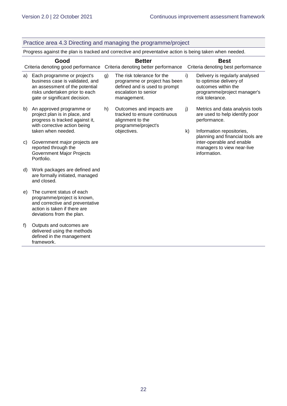framework.

#### Practice area 4.3 Directing and managing the programme/project Progress against the plan is tracked and corrective and preventative action is being taken when needed. **Good** Criteria denoting good performance Criteria denoting better performance **Better Best** Criteria denoting best performance a) Each programme or project's business case is validated, and an assessment of the potential risks undertaken prior to each gate or significant decision. b) An approved programme or project plan is in place, and progress is tracked against it, with corrective action being taken when needed. c) Government major projects are reported through the Government Major Projects Portfolio. d) Work packages are defined and are formally initiated, managed and closed. e) The current status of each programme/project is known, and corrective and preventative action is taken if there are deviations from the plan. f) Outputs and outcomes are delivered using the methods defined in the management g) The risk tolerance for the programme or project has been defined and is used to prompt escalation to senior management. h) Outcomes and impacts are tracked to ensure continuous alignment to the programme/project's objectives. i) Delivery is regularly analysed to optimise delivery of outcomes within the programme/project manager's risk tolerance. j) Metrics and data analysis tools are used to help identify poor performance. k) Information repositories, planning and financial tools are inter-operable and enable managers to view near-live information.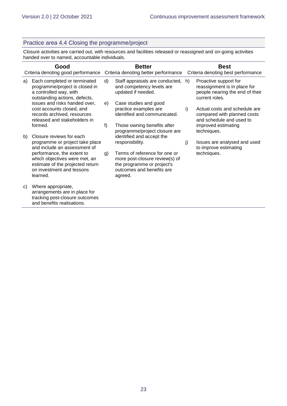#### Practice area 4.4 Closing the programme/project

Closure activities are carried out, with resources and facilities released or reassigned and on-going activities handed over to named, accountable individuals.

|    | Good<br>Criteria denoting good performance                                                                                               |    | <b>Better</b><br>Criteria denoting better performance                                                                                 |    | <b>Best</b><br>Criteria denoting best performance                                                          |  |
|----|------------------------------------------------------------------------------------------------------------------------------------------|----|---------------------------------------------------------------------------------------------------------------------------------------|----|------------------------------------------------------------------------------------------------------------|--|
| a) | Each completed or terminated<br>programme/project is closed in<br>a controlled way, with<br>outstanding actions, defects,                | d) | Staff appraisals are conducted, h)<br>and competency levels are<br>updated if needed.                                                 |    | Proactive support for<br>reassignment is in place for<br>people nearing the end of their<br>current roles. |  |
|    | issues and risks handed over,<br>cost accounts closed, and<br>records archived, resources<br>released and stakeholders in                | e) | Case studies and good<br>practice examples are<br>identified and communicated.                                                        | i) | Actual costs and schedule are<br>compared with planned costs<br>and schedule and used to                   |  |
|    | formed.                                                                                                                                  | f) | Those owning benefits after<br>programme/project closure are                                                                          |    | improved estimating<br>techniques.                                                                         |  |
| b) | Closure reviews for each<br>programme or project take place<br>and include an assessment of                                              |    | identified and accept the<br>responsibility.                                                                                          | j) | Issues are analysed and used<br>to improve estimating                                                      |  |
|    | performance, the extent to<br>which objectives were met, an<br>estimate of the projected return<br>on investment and lessons<br>learned. | g) | Terms of reference for one or<br>more post-closure review(s) of<br>the programme or project's<br>outcomes and benefits are<br>agreed. |    | techniques.                                                                                                |  |
| C) | Where appropriate,<br>arrangements are in place for<br>tracking post-closure outcomes<br>and benefits realisations.                      |    |                                                                                                                                       |    |                                                                                                            |  |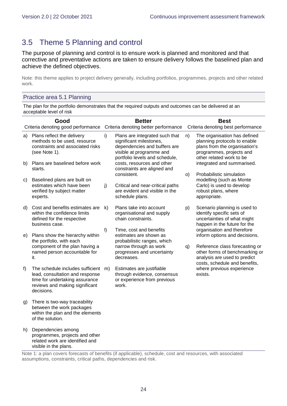# <span id="page-23-0"></span>3.5 Theme 5 Planning and control

The purpose of planning and control is to ensure work is planned and monitored and that corrective and preventative actions are taken to ensure delivery follows the baselined plan and achieve the defined objectives.

Note: this theme applies to project delivery generally, including portfolios, programmes, projects and other related work.

#### Practice area 5.1 Planning

visible in the plans.

The plan for the portfolio demonstrates that the required outputs and outcomes can be delivered at an acceptable level of risk

| Good |                                                                                                                                                       | <b>Better</b> |                                                                                                                                                         |    | <b>Best</b>                                                                                                                                           |  |  |  |
|------|-------------------------------------------------------------------------------------------------------------------------------------------------------|---------------|---------------------------------------------------------------------------------------------------------------------------------------------------------|----|-------------------------------------------------------------------------------------------------------------------------------------------------------|--|--|--|
|      | Criteria denoting good performance                                                                                                                    |               | Criteria denoting better performance                                                                                                                    |    | Criteria denoting best performance                                                                                                                    |  |  |  |
| a)   | Plans reflect the delivery<br>methods to be used, resource<br>constraints and associated risks<br>(see Note 1).                                       | i)            | Plans are integrated such that<br>significant milestones,<br>dependencies and buffers are<br>visible at programme and<br>portfolio levels and schedule, | n) | The organisation has defined<br>planning protocols to enable<br>plans from the organisation's<br>programmes, projects and<br>other related work to be |  |  |  |
| b)   | Plans are baselined before work<br>starts.                                                                                                            |               | costs, resources and other<br>constraints are aligned and<br>consistent.                                                                                | O) | integrated and summarised.<br>Probabilistic simulation                                                                                                |  |  |  |
| C)   | Baselined plans are built on<br>estimates which have been<br>verified by subject matter<br>experts.                                                   | j)            | Critical and near-critical paths<br>are evident and visible in the<br>schedule plans.                                                                   |    | modelling (such as Monte<br>Carlo) is used to develop<br>robust plans, where<br>appropriate.                                                          |  |  |  |
| d)   | Cost and benefits estimates are<br>within the confidence limits<br>defined for the respective<br>business case.                                       | k)            | Plans take into account<br>organisational and supply<br>chain constraints.                                                                              | p) | Scenario planning is used to<br>identify specific sets of<br>uncertainties of what might<br>happen in the future for the                              |  |  |  |
| e)   | Plans show the hierarchy within<br>the portfolio, with each                                                                                           | $\vert$       | Time, cost and benefits<br>estimates are shown as<br>probabilistic ranges, which                                                                        |    | organisation and therefore<br>inform options and decisions.                                                                                           |  |  |  |
|      | component of the plan having a<br>named person accountable for<br>it.                                                                                 |               | narrow through as work<br>progresses and uncertainty<br>decreases.                                                                                      | q) | Reference class forecasting or<br>other forms of benchmarking or<br>analysis are used to predict<br>costs, schedule and benefits,                     |  |  |  |
| f    | The schedule includes sufficient<br>lead, consultation and response<br>time for undertaking assurance<br>reviews and making significant<br>decisions. | m)            | Estimates are justifiable<br>through evidence, consensus<br>or experience from previous<br>work.                                                        |    | where previous experience<br>exists.                                                                                                                  |  |  |  |
| g)   | There is two-way traceability<br>between the work packages<br>within the plan and the elements<br>of the solution.                                    |               |                                                                                                                                                         |    |                                                                                                                                                       |  |  |  |
| h)   | Dependencies among<br>programmes, projects and other<br>related work are identified and                                                               |               |                                                                                                                                                         |    |                                                                                                                                                       |  |  |  |

Note 1: a plan covers forecasts of benefits (if applicable), schedule, cost and resources, with associated assumptions, constraints, critical paths, dependencies and risk.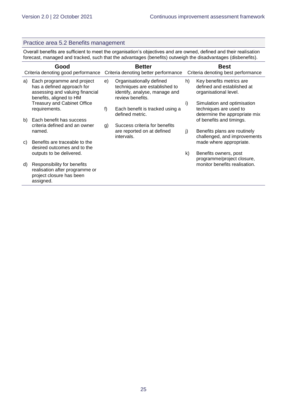#### Practice area 5.2 Benefits management

Overall benefits are sufficient to meet the organisation's objectives and are owned, defined and their realisation forecast, managed and tracked, such that the advantages (benefits) outweigh the disadvantages (disbenefits).

|    | Good                                                                                                                   | <b>Better</b> |                                                                                                                |    | <b>Best</b>                                                                            |  |  |
|----|------------------------------------------------------------------------------------------------------------------------|---------------|----------------------------------------------------------------------------------------------------------------|----|----------------------------------------------------------------------------------------|--|--|
|    | Criteria denoting good performance                                                                                     |               | Criteria denoting better performance                                                                           |    | Criteria denoting best performance                                                     |  |  |
| a) | Each programme and project<br>has a defined approach for<br>assessing and valuing financial<br>benefits, aligned to HM | e)            | Organisationally defined<br>techniques are established to<br>identify, analyse, manage and<br>review benefits. | h) | Key benefits metrics are<br>defined and established at<br>organisational level.        |  |  |
|    | <b>Treasury and Cabinet Office</b><br>requirements.                                                                    | f)            | Each benefit is tracked using a<br>defined metric.                                                             | i) | Simulation and optimisation<br>techniques are used to<br>determine the appropriate mix |  |  |
| b) | Each benefit has success<br>criteria defined and an owner                                                              | g)            | Success criteria for benefits                                                                                  |    | of benefits and timings.                                                               |  |  |
|    | named.                                                                                                                 |               | are reported on at defined<br>intervals.                                                                       | j) | Benefits plans are routinely<br>challenged, and improvements                           |  |  |
| C) | Benefits are traceable to the<br>desired outcomes and to the                                                           |               |                                                                                                                |    | made where appropriate.                                                                |  |  |
|    | outputs to be delivered.                                                                                               |               |                                                                                                                | k) | Benefits owners, post<br>programme/project closure,                                    |  |  |
| d) | Responsibility for benefits<br>realisation after programme or<br>project closure has been<br>assigned.                 |               |                                                                                                                |    | monitor benefits realisation.                                                          |  |  |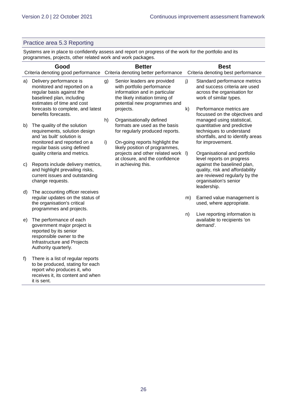#### Practice area 5.3 Reporting

Systems are in place to confidently assess and report on progress of the work for the portfolio and its programmes, projects, other related work and work packages.

| Good |                                                                                                                                                                     | <b>Better</b> |                                                                                                                                                               |    | <b>Best</b>                                                                                                                                                                                          |  |  |  |  |  |  |  |  |    |                                                                          |
|------|---------------------------------------------------------------------------------------------------------------------------------------------------------------------|---------------|---------------------------------------------------------------------------------------------------------------------------------------------------------------|----|------------------------------------------------------------------------------------------------------------------------------------------------------------------------------------------------------|--|--|--|--|--|--|--|--|----|--------------------------------------------------------------------------|
|      | Criteria denoting good performance Criteria denoting better performance                                                                                             |               |                                                                                                                                                               |    | Criteria denoting best performance                                                                                                                                                                   |  |  |  |  |  |  |  |  |    |                                                                          |
| a)   | Delivery performance is<br>monitored and reported on a<br>regular basis against the<br>baselined plan, including<br>estimates of time and cost                      | g)            | Senior leaders are provided<br>with portfolio performance<br>information and in particular<br>the likely initiation timing of<br>potential new programmes and | j) | Standard performance metrics<br>and success criteria are used<br>across the organisation for<br>work of similar types.                                                                               |  |  |  |  |  |  |  |  |    |                                                                          |
|      | forecasts to complete, and latest<br>benefits forecasts.                                                                                                            |               | projects.                                                                                                                                                     | k) | Performance metrics are<br>focussed on the objectives and                                                                                                                                            |  |  |  |  |  |  |  |  |    |                                                                          |
| b)   | The quality of the solution<br>requirements, solution design<br>and 'as built' solution is                                                                          | h)            | Organisationally defined<br>formats are used as the basis<br>for regularly produced reports.                                                                  |    | managed using statistical,<br>quantitative and predictive<br>techniques to understand<br>shortfalls, and to identify areas                                                                           |  |  |  |  |  |  |  |  |    |                                                                          |
|      | monitored and reported on a<br>regular basis using defined                                                                                                          | i)            | On-going reports highlight the<br>likely position of programmes,<br>projects and other related work  )                                                        |    | for improvement.                                                                                                                                                                                     |  |  |  |  |  |  |  |  |    |                                                                          |
| C)   | quality criteria and metrics.<br>Reports include delivery metrics,<br>and highlight prevailing risks,<br>current issues and outstanding<br>change requests.         |               | at closure, and the confidence<br>in achieving this.                                                                                                          |    | Organisational and portfolio<br>level reports on progress<br>against the baselined plan,<br>quality, risk and affordability<br>are reviewed regularly by the<br>organisation's senior<br>leadership. |  |  |  |  |  |  |  |  |    |                                                                          |
| d)   | The accounting officer receives<br>regular updates on the status of<br>the organisation's critical<br>programmes and projects.                                      |               |                                                                                                                                                               | m) | Earned value management is<br>used, where appropriate.                                                                                                                                               |  |  |  |  |  |  |  |  |    |                                                                          |
| e)   | The performance of each<br>government major project is<br>reported by its senior<br>responsible owner to the<br>Infrastructure and Projects<br>Authority quarterly. |               |                                                                                                                                                               |    |                                                                                                                                                                                                      |  |  |  |  |  |  |  |  | n) | Live reporting information is<br>available to recipients 'on<br>demand'. |
| f)   | There is a list of regular reports<br>to be produced, stating for each<br>report who produces it, who<br>receives it, its content and when<br>it is sent.           |               |                                                                                                                                                               |    |                                                                                                                                                                                                      |  |  |  |  |  |  |  |  |    |                                                                          |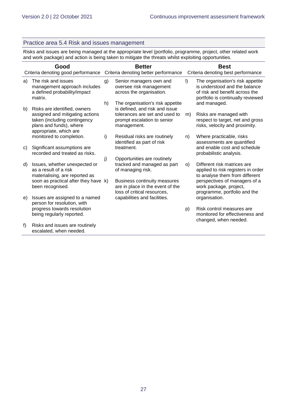#### Practice area 5.4 Risk and issues management

Risks and issues are being managed at the appropriate level (portfolio, programme, project, other related work and work package) and action is being taken to mitigate the threats whilst exploiting opportunities.

|    | Good<br>Criteria denoting good performance                                                                                       |    | <b>Better</b><br>Criteria denoting better performance                                                                  |         | <b>Best</b><br>Criteria denoting best performance                                                                                        |  |  |
|----|----------------------------------------------------------------------------------------------------------------------------------|----|------------------------------------------------------------------------------------------------------------------------|---------|------------------------------------------------------------------------------------------------------------------------------------------|--|--|
| a) | The risk and issues<br>management approach includes<br>a defined probability/impact<br>matrix.                                   | g) | Senior managers own and<br>oversee risk management<br>across the organisation.                                         | $\vert$ | The organisation's risk appetite<br>is understood and the balance<br>of risk and benefit across the<br>portfolio is continually reviewed |  |  |
| b) | Risks are identified, owners                                                                                                     | h) | The organisation's risk appetite<br>is defined, and risk and issue                                                     |         | and managed.                                                                                                                             |  |  |
|    | assigned and mitigating actions<br>taken (including contingency<br>plans and funds), where<br>appropriate, which are             |    | tolerances are set and used to<br>prompt escalation to senior<br>management.                                           | m)      | Risks are managed with<br>respect to target, net and gross<br>risks, velocity and proximity.                                             |  |  |
|    | monitored to completion.                                                                                                         | i) | Residual risks are routinely<br>identified as part of risk                                                             | n)      | Where practicable, risks<br>assessments are quantified                                                                                   |  |  |
| C) | Significant assumptions are<br>recorded and treated as risks.                                                                    |    | treatment.                                                                                                             |         | and enable cost and schedule<br>probabilistic analysis.                                                                                  |  |  |
| d) | Issues, whether unexpected or<br>as a result of a risk<br>materialising, are reported as<br>soon as practical after they have k) | j) | Opportunities are routinely<br>tracked and managed as part<br>of managing risk.<br><b>Business continuity measures</b> | O)      | Different risk matrices are<br>applied to risk registers in order<br>to analyse them from different<br>perspectives of managers of a     |  |  |
|    | been recognised.                                                                                                                 |    | are in place in the event of the<br>loss of critical resources.                                                        |         | work package, project,<br>programme, portfolio and the                                                                                   |  |  |
| e) | Issues are assigned to a named<br>person for resolution, with<br>progress towards resolution                                     |    | capabilities and facilities.                                                                                           |         | organisation.<br>Risk control measures are                                                                                               |  |  |
|    | being regularly reported.                                                                                                        |    |                                                                                                                        | p)      | monitored for effectiveness and<br>changed, when needed.                                                                                 |  |  |
| f) | Risks and issues are routinely<br>escalated, when needed.                                                                        |    |                                                                                                                        |         |                                                                                                                                          |  |  |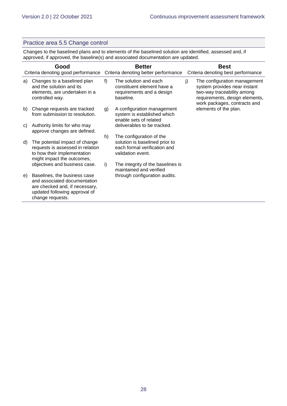#### Practice area 5.5 Change control

Changes to the baselined plans and to elements of the baselined solution are identified, assessed and, if approved, if approved, the baseline(s) and associated documentation are updated.

| Good<br>Criteria denoting good performance |                                                                                                                                                     |       | <b>Better</b><br>Criteria denoting better performance                                                           |    | <b>Best</b><br>Criteria denoting best performance                                                                                                            |  |  |
|--------------------------------------------|-----------------------------------------------------------------------------------------------------------------------------------------------------|-------|-----------------------------------------------------------------------------------------------------------------|----|--------------------------------------------------------------------------------------------------------------------------------------------------------------|--|--|
| a)                                         | Changes to a baselined plan<br>and the solution and its<br>elements, are undertaken in a<br>controlled way.                                         | $f$ ) | The solution and each<br>constituent element have a<br>requirements and a design<br>baseline.                   | j) | The configuration management<br>system provides near instant<br>two-way traceability among<br>requirements, design elements,<br>work packages, contracts and |  |  |
| b)                                         | Change requests are tracked<br>from submission to resolution.                                                                                       | g)    | A configuration management<br>system is established which<br>enable sets of related                             |    | elements of the plan.                                                                                                                                        |  |  |
| C)                                         | Authority limits for who may<br>approve changes are defined.                                                                                        |       | deliverables to be tracked.                                                                                     |    |                                                                                                                                                              |  |  |
| d)                                         | The potential impact of change<br>requests is assessed in relation<br>to how their implementation<br>might impact the outcomes,                     | h)    | The configuration of the<br>solution is baselined prior to<br>each formal verification and<br>validation event. |    |                                                                                                                                                              |  |  |
|                                            | objectives and business case.                                                                                                                       | i)    | The integrity of the baselines is<br>maintained and verified                                                    |    |                                                                                                                                                              |  |  |
| e)                                         | Baselines, the business case<br>and associated documentation<br>are checked and, if necessary,<br>updated following approval of<br>change requests. |       | through configuration audits.                                                                                   |    |                                                                                                                                                              |  |  |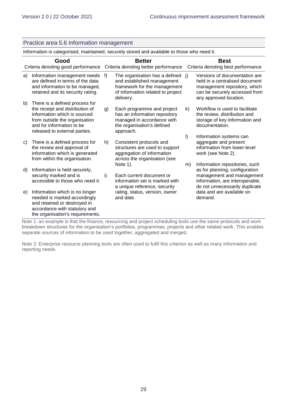|    | Practice area 5.6 Information management                                                                                                                                                         |    |                                                                                                                                                   |                                                   |                                                                                                                                                                    |  |  |  |
|----|--------------------------------------------------------------------------------------------------------------------------------------------------------------------------------------------------|----|---------------------------------------------------------------------------------------------------------------------------------------------------|---------------------------------------------------|--------------------------------------------------------------------------------------------------------------------------------------------------------------------|--|--|--|
|    | Information is categorised, maintained, securely stored and available to those who need it.                                                                                                      |    |                                                                                                                                                   |                                                   |                                                                                                                                                                    |  |  |  |
|    | Good<br>Criteria denoting good performance                                                                                                                                                       |    | <b>Better</b><br>Criteria denoting better performance                                                                                             | <b>Best</b><br>Criteria denoting best performance |                                                                                                                                                                    |  |  |  |
| a) | Information management needs<br>are defined in terms of the data<br>and information to be managed,<br>retained and its security rating.                                                          | f) | The organisation has a defined j)<br>and established management<br>framework for the management<br>of information related to project<br>delivery. |                                                   | Versions of documentation are<br>held in a centralised document<br>management repository, which<br>can be securely accessed from<br>any approved location.         |  |  |  |
| b) | There is a defined process for<br>the receipt and distribution of<br>information which is sourced<br>from outside the organisation<br>and for information to be<br>released to external parties. | g) | Each programme and project<br>has an information repository<br>managed in accordance with<br>the organisation's defined<br>approach.              | k)                                                | Workflow is used to facilitate<br>the review, distribution and<br>storage of key information and<br>documentation.                                                 |  |  |  |
| C) | There is a defined process for<br>the review and approval of<br>information which is generated<br>from within the organisation.                                                                  | h) | Consistent protocols and<br>structures are used to support<br>aggregation of information<br>across the organisation (see                          | $\vert$                                           | Information systems can<br>aggregate and present<br>information from lower-level<br>work (see Note 2).                                                             |  |  |  |
| d) | Information is held securely,<br>security marked and is<br>accessible to those who need it.                                                                                                      | i) | Note 1).<br>Each current document or<br>information set is marked with<br>a unique reference, security                                            | m)                                                | Information repositories, such<br>as for planning, configuration<br>management and management<br>information, are interoperable,<br>do not unnecessarily duplicate |  |  |  |
| e) | Information which is no longer<br>needed is marked accordingly<br>and retained or destroyed in<br>accordance with statutory and<br>the organisation's requirements.                              |    | rating, status, version, owner<br>and date.                                                                                                       |                                                   | data and are available on<br>demand.                                                                                                                               |  |  |  |

Note 1: an example is that the finance, resourcing and project scheduling tools use the same protocols and work breakdown structures for the organisation's portfolios, programmes, projects and other related work. This enables separate sources of information to be used together, aggregated and merged.

Note 2: Enterprise resource planning tools are often used to fulfil this criterion as well as many information and reporting needs.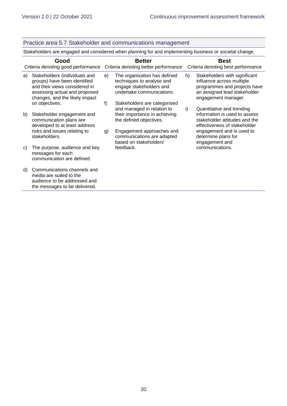#### Practice area 5.7 Stakeholder and communications management

Stakeholders are engaged and considered when planning for and implementing business or societal change.

|    | Good<br>Criteria denoting good performance                                                                                                                        |    | <b>Better</b><br>Criteria denoting better performance                                                             |    | <b>Best</b><br>Criteria denoting best performance                                                                                                 |
|----|-------------------------------------------------------------------------------------------------------------------------------------------------------------------|----|-------------------------------------------------------------------------------------------------------------------|----|---------------------------------------------------------------------------------------------------------------------------------------------------|
| a) | Stakeholders (individuals and<br>groups) have been identified<br>and their views considered in<br>assessing actual and proposed<br>changes, and the likely impact | e) | The organisation has defined<br>techniques to analyse and<br>engage stakeholders and<br>undertake communications. | h) | Stakeholders with significant<br>influence across multiple<br>programmes and projects have<br>an assigned lead stakeholder<br>engagement manager. |
|    | on objectives.                                                                                                                                                    | f) | Stakeholders are categorised<br>and managed in relation to                                                        | i) | Quantitative and trending                                                                                                                         |
| b) | Stakeholder engagement and<br>communication plans are<br>developed to at least address                                                                            |    | their importance in achieving<br>the defined objectives.                                                          |    | information is used to assess<br>stakeholder attitudes and the<br>effectiveness of stakeholder                                                    |
|    | risks and issues relating to<br>stakeholders.                                                                                                                     | g) | Engagement approaches and<br>communications are adapted<br>based on stakeholders'                                 |    | engagement and is used to<br>determine plans for<br>engagement and                                                                                |
| C) | The purpose, audience and key<br>messages for each<br>communication are defined.                                                                                  |    | feedback.                                                                                                         |    | communications.                                                                                                                                   |
| d) | Communications channels and<br>media are suited to the<br>audience to be addressed and<br>the messages to be delivered.                                           |    |                                                                                                                   |    |                                                                                                                                                   |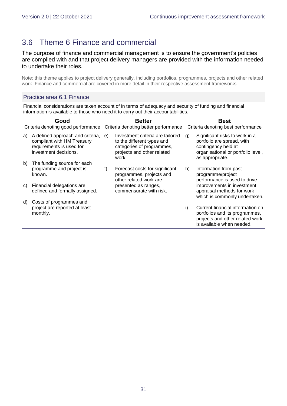# <span id="page-30-0"></span>3.6 Theme 6 Finance and commercial

The purpose of finance and commercial management is to ensure the government's policies are complied with and that project delivery managers are provided with the information needed to undertake their roles.

Note: this theme applies to project delivery generally, including portfolios, programmes, projects and other related work. Finance and commercial are covered in more detail in their respective assessment frameworks.

#### Practice area 6.1 Finance

Financial considerations are taken account of in terms of adequacy and security of funding and financial information is available to those who need it to carry out their accountabilities.

| Good<br>Criteria denoting good performance |                                                                                                                     | <b>Better</b><br>Criteria denoting better performance |                                                                                                                                    | <b>Best</b><br>Criteria denoting best performance |                                                                                                                                              |
|--------------------------------------------|---------------------------------------------------------------------------------------------------------------------|-------------------------------------------------------|------------------------------------------------------------------------------------------------------------------------------------|---------------------------------------------------|----------------------------------------------------------------------------------------------------------------------------------------------|
| a)                                         | A defined approach and criteria,<br>compliant with HM Treasury<br>requirements is used for<br>investment decisions. | e)                                                    | Investment criteria are tailored<br>to the different types and<br>categories of programmes,<br>projects and other related<br>work. | g)                                                | Significant risks to work in a<br>portfolio are spread, with<br>contingency held at<br>organisational or portfolio level,<br>as appropriate. |
| b)                                         | The funding source for each                                                                                         |                                                       |                                                                                                                                    |                                                   |                                                                                                                                              |
|                                            | programme and project is<br>known.                                                                                  | f)                                                    | Forecast costs for significant<br>programmes, projects and<br>other related work are                                               | h)                                                | Information from past<br>programme/project<br>performance is used to drive                                                                   |
| C)                                         | Financial delegations are<br>defined and formally assigned.                                                         |                                                       | presented as ranges,<br>commensurate with risk.                                                                                    |                                                   | improvements in investment<br>appraisal methods for work<br>which is commonly undertaken.                                                    |
| d)                                         | Costs of programmes and                                                                                             |                                                       |                                                                                                                                    |                                                   |                                                                                                                                              |
|                                            | project are reported at least<br>monthly.                                                                           |                                                       |                                                                                                                                    | i)                                                | Current financial information on<br>portfolios and its programmes,<br>projects and other related work<br>is available when needed.           |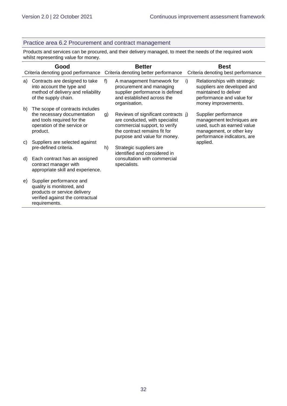#### Practice area 6.2 Procurement and contract management

Products and services can be procured, and their delivery managed, to meet the needs of the required work whilst representing value for money.

| Good |                                                                                                                                            | <b>Better</b><br>Criteria denoting good performance Criteria denoting better performance |                                                                                                                                                                        |    | <b>Best</b><br>Criteria denoting best performance                                                                                          |  |  |
|------|--------------------------------------------------------------------------------------------------------------------------------------------|------------------------------------------------------------------------------------------|------------------------------------------------------------------------------------------------------------------------------------------------------------------------|----|--------------------------------------------------------------------------------------------------------------------------------------------|--|--|
| a)   | Contracts are designed to take<br>into account the type and<br>method of delivery and reliability<br>of the supply chain.                  | f)                                                                                       | A management framework for<br>procurement and managing<br>supplier performance is defined<br>and established across the<br>organisation.                               | i) | Relationships with strategic<br>suppliers are developed and<br>maintained to deliver<br>performance and value for<br>money improvements.   |  |  |
| b)   | The scope of contracts includes<br>the necessary documentation<br>and tools required for the<br>operation of the service or<br>product.    | g)                                                                                       | Reviews of significant contracts j)<br>are conducted, with specialist<br>commercial support, to verify<br>the contract remains fit for<br>purpose and value for money. |    | Supplier performance<br>management techniques are<br>used, such as earned value<br>management, or other key<br>performance indicators, are |  |  |
| C)   | Suppliers are selected against<br>pre-defined criteria.                                                                                    | h)                                                                                       | Strategic suppliers are<br>identified and considered in<br>consultation with commercial<br>specialists.                                                                |    | applied.                                                                                                                                   |  |  |
| d)   | Each contract has an assigned<br>contract manager with<br>appropriate skill and experience.                                                |                                                                                          |                                                                                                                                                                        |    |                                                                                                                                            |  |  |
| e)   | Supplier performance and<br>quality is monitored, and<br>products or service delivery<br>verified against the contractual<br>requirements. |                                                                                          |                                                                                                                                                                        |    |                                                                                                                                            |  |  |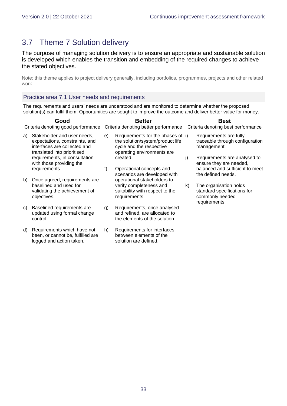# <span id="page-32-0"></span>3.7 Theme 7 Solution delivery

The purpose of managing solution delivery is to ensure an appropriate and sustainable solution is developed which enables the transition and embedding of the required changes to achieve the stated objectives.

Note: this theme applies to project delivery generally, including portfolios, programmes, projects and other related work.

Practice area 7.1 User needs and requirements

The requirements and users' needs are understood and are monitored to determine whether the proposed solution(s) can fulfil them. Opportunities are sought to improve the outcome and deliver better value for money.

|    | Good                                                                                                                         |    | <b>Better</b>                                                                                                                   |    | <b>Best</b>                                                                               |
|----|------------------------------------------------------------------------------------------------------------------------------|----|---------------------------------------------------------------------------------------------------------------------------------|----|-------------------------------------------------------------------------------------------|
|    | Criteria denoting good performance                                                                                           |    | Criteria denoting better performance                                                                                            |    | Criteria denoting best performance                                                        |
| a) | Stakeholder and user needs,<br>expectations, constraints, and<br>interfaces are collected and<br>translated into prioritised | e) | Requirements for the phases of i)<br>the solution/system/product life<br>cycle and the respective<br>operating environments are |    | Requirements are fully<br>traceable through configuration<br>management.                  |
|    | requirements, in consultation<br>with those providing the                                                                    |    | created.                                                                                                                        | j) | Requirements are analysed to<br>ensure they are needed,                                   |
|    | requirements.                                                                                                                | f) | Operational concepts and<br>scenarios are developed with                                                                        |    | balanced and sufficient to meet<br>the defined needs.                                     |
| b) | Once agreed, requirements are<br>baselined and used for<br>validating the achievement of<br>objectives.                      |    | operational stakeholders to<br>verify completeness and<br>suitability with respect to the<br>requirements.                      | k) | The organisation holds<br>standard specifications for<br>commonly needed<br>requirements. |
| C) | Baselined requirements are<br>updated using formal change<br>control.                                                        | g) | Requirements, once analysed<br>and refined, are allocated to<br>the elements of the solution.                                   |    |                                                                                           |
| d) | Requirements which have not<br>been, or cannot be, fulfilled are<br>logged and action taken.                                 | h) | Requirements for interfaces<br>between elements of the<br>solution are defined.                                                 |    |                                                                                           |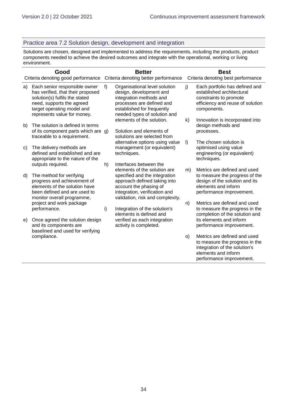#### Practice area 7.2 Solution design, development and integration

Solutions are chosen, designed and implemented to address the requirements, including the products, product components needed to achieve the desired outcomes and integrate with the operational, working or living environment.

|    | Good<br>Criteria denoting good performance                                                                                                                                                     |    | <b>Better</b><br>Criteria denoting better performance                                                                                                                                                                  |         | <b>Best</b><br>Criteria denoting best performance                                                                                                   |
|----|------------------------------------------------------------------------------------------------------------------------------------------------------------------------------------------------|----|------------------------------------------------------------------------------------------------------------------------------------------------------------------------------------------------------------------------|---------|-----------------------------------------------------------------------------------------------------------------------------------------------------|
| a) | Each senior responsible owner<br>has verified, that their proposed<br>solution(s) fulfils the stated<br>need, supports the agreed<br>target operating model and<br>represents value for money. | f) | Organisational level solution<br>design, development and<br>integration methods and<br>processes are defined and<br>established for frequently<br>needed types of solution and                                         | j)      | Each portfolio has defined and<br>established architectural<br>constraints to promote<br>efficiency and reuse of solution<br>components.            |
| b) | The solution is defined in terms<br>of its component parts which are g)<br>traceable to a requirement.                                                                                         |    | elements of the solution.<br>Solution and elements of<br>solutions are selected from                                                                                                                                   | k)      | Innovation is incorporated into<br>design methods and<br>processes.                                                                                 |
| C) | The delivery methods are<br>defined and established and are<br>appropriate to the nature of the                                                                                                |    | alternative options using value<br>management (or equivalent)<br>techniques.                                                                                                                                           | $\vert$ | The chosen solution is<br>optimised using value<br>engineering (or equivalent)<br>techniques.                                                       |
| d) | outputs required.<br>The method for verifying<br>progress and achievement of<br>elements of the solution have<br>been defined and are used to<br>monitor overall programme,                    | h) | Interfaces between the<br>elements of the solution are<br>specified and the integration<br>approach defined taking into<br>account the phasing of<br>integration, verification and<br>validation, risk and complexity. | m)      | Metrics are defined and used<br>to measure the progress of the<br>design of the solution and its<br>elements and inform<br>performance improvement. |
|    | project and work package<br>performance.                                                                                                                                                       | i) | Integration of the solution's<br>elements is defined and                                                                                                                                                               | n)      | Metrics are defined and used<br>to measure the progress in the<br>completion of the solution and                                                    |
| e) | Once agreed the solution design<br>and its components are<br>baselined and used for verifying                                                                                                  |    | verified as each integration<br>activity is completed.                                                                                                                                                                 |         | its elements and inform<br>performance improvement.                                                                                                 |
|    | compliance.                                                                                                                                                                                    |    |                                                                                                                                                                                                                        | O)      | Metrics are defined and used<br>to measure the progress in the<br>integration of the solution's<br>elements and inform<br>performance improvement.  |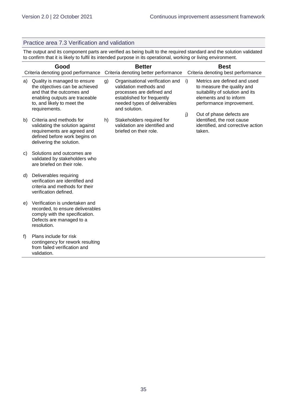#### Practice area 7.3 Verification and validation

The output and its component parts are verified as being built to the required standard and the solution validated to confirm that it is likely to fulfil its intended purpose in its operational, working or living environment.

| Good<br>Criteria denoting good performance |                                                                                                                                                                              | <b>Better</b><br>Criteria denoting better performance |                                                                                                                                                                       |    | <b>Best</b><br>Criteria denoting best performance                                                                                                   |  |  |
|--------------------------------------------|------------------------------------------------------------------------------------------------------------------------------------------------------------------------------|-------------------------------------------------------|-----------------------------------------------------------------------------------------------------------------------------------------------------------------------|----|-----------------------------------------------------------------------------------------------------------------------------------------------------|--|--|
| a)                                         | Quality is managed to ensure<br>the objectives can be achieved<br>and that the outcomes and<br>enabling outputs are traceable<br>to, and likely to meet the<br>requirements. | g)                                                    | Organisational verification and<br>validation methods and<br>processes are defined and<br>established for frequently<br>needed types of deliverables<br>and solution. | i) | Metrics are defined and used<br>to measure the quality and<br>suitability of solution and its<br>elements and to inform<br>performance improvement. |  |  |
| b)                                         | Criteria and methods for<br>validating the solution against<br>requirements are agreed and<br>defined before work begins on<br>delivering the solution.                      | h)                                                    | Stakeholders required for<br>validation are identified and<br>briefed on their role.                                                                                  | j) | Out of phase defects are<br>identified, the root cause<br>identified, and corrective action<br>taken.                                               |  |  |
| C)                                         | Solutions and outcomes are<br>validated by stakeholders who<br>are briefed on their role.                                                                                    |                                                       |                                                                                                                                                                       |    |                                                                                                                                                     |  |  |
| d)                                         | Deliverables requiring<br>verification are identified and<br>criteria and methods for their<br>verification defined.                                                         |                                                       |                                                                                                                                                                       |    |                                                                                                                                                     |  |  |
| e)                                         | Verification is undertaken and<br>recorded, to ensure deliverables<br>comply with the specification.<br>Defects are managed to a<br>resolution.                              |                                                       |                                                                                                                                                                       |    |                                                                                                                                                     |  |  |
| f)                                         | Plans include for risk<br>contingency for rework resulting<br>from failed verification and<br>validation.                                                                    |                                                       |                                                                                                                                                                       |    |                                                                                                                                                     |  |  |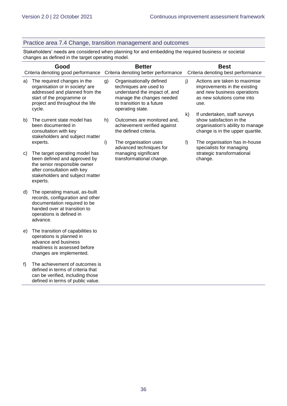#### Practice area 7.4 Change, transition management and outcomes

Stakeholders' needs are considered when planning for and embedding the required business or societal changes as defined in the target operating model.

| Good |                                                                                                                                                                              | <b>Better</b> |                                                                                                                                                                   | <b>Best</b> |                                                                                                                                    |  |
|------|------------------------------------------------------------------------------------------------------------------------------------------------------------------------------|---------------|-------------------------------------------------------------------------------------------------------------------------------------------------------------------|-------------|------------------------------------------------------------------------------------------------------------------------------------|--|
|      | Criteria denoting good performance                                                                                                                                           |               | Criteria denoting better performance                                                                                                                              |             | Criteria denoting best performance                                                                                                 |  |
| a)   | The required changes in the<br>organisation or in society' are<br>addressed and planned from the<br>start of the programme or<br>project and throughout the life<br>cycle.   | g)            | Organisationally defined<br>techniques are used to<br>understand the impact of, and<br>manage the changes needed<br>to transition to a future<br>operating state. | j)          | Actions are taken to maximise<br>improvements in the existing<br>and new business operations<br>as new solutions come into<br>use. |  |
|      |                                                                                                                                                                              |               |                                                                                                                                                                   | k)          | If undertaken, staff surveys                                                                                                       |  |
| b)   | The current state model has<br>been documented in<br>consultation with key<br>stakeholders and subject matter                                                                | h)            | Outcomes are monitored and,<br>achievement verified against<br>the defined criteria.                                                                              |             | show satisfaction in the<br>organisation's ability to manage<br>change is in the upper quartile.                                   |  |
|      | experts.                                                                                                                                                                     | i)            | The organisation uses<br>advanced techniques for                                                                                                                  | $\vert$     | The organisation has in-house<br>specialists for managing                                                                          |  |
| C)   | The target operating model has<br>been defined and approved by<br>the senior responsible owner<br>after consultation with key<br>stakeholders and subject matter<br>experts. |               | managing significant<br>transformational change.                                                                                                                  |             | strategic transformational<br>change.                                                                                              |  |
| d)   | The operating manual, as-built<br>records, configuration and other<br>documentation required to be<br>handed over at transition to<br>operations is defined in<br>advance.   |               |                                                                                                                                                                   |             |                                                                                                                                    |  |
| e)   | The transition of capabilities to<br>operations is planned in<br>advance and business<br>readiness is assessed before<br>changes are implemented.                            |               |                                                                                                                                                                   |             |                                                                                                                                    |  |
| f)   | The achievement of outcomes is<br>defined in terms of criteria that<br>can be verified, including those<br>defined in terms of public value.                                 |               |                                                                                                                                                                   |             |                                                                                                                                    |  |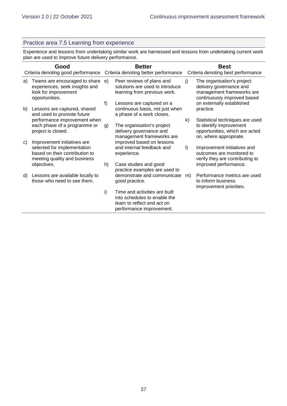#### Practice area 7.5 Learning from experience

Experience and lessons from undertaking similar work are harnessed and lessons from undertaking current work plan are used to improve future delivery performance.

| Good |                                                                                                                              | <b>Better</b>                        |                                                                                                                         | <b>Best</b>                        |                                                                                                                        |  |
|------|------------------------------------------------------------------------------------------------------------------------------|--------------------------------------|-------------------------------------------------------------------------------------------------------------------------|------------------------------------|------------------------------------------------------------------------------------------------------------------------|--|
|      | Criteria denoting good performance                                                                                           | Criteria denoting better performance |                                                                                                                         | Criteria denoting best performance |                                                                                                                        |  |
| a)   | Teams are encouraged to share<br>experiences, seek insights and<br>look for improvement<br>opportunities.                    | e)                                   | Peer reviews of plans and<br>solutions are used to introduce<br>learning from previous work.                            | j)                                 | The organisation's project<br>delivery governance and<br>management frameworks are<br>continuously improved based      |  |
| b)   | Lessons are captured, shared<br>and used to promote future                                                                   | f)                                   | Lessons are captured on a<br>continuous basis, not just when<br>a phase of a work closes.                               |                                    | on externally established<br>practice.                                                                                 |  |
|      | performance improvement when<br>each phase of a programme or<br>project is closed.                                           | g)                                   | The organisation's project<br>delivery governance and<br>management frameworks are                                      | k)                                 | Statistical techniques are used<br>to identify improvement<br>opportunities, which are acted<br>on, where appropriate. |  |
| C)   | Improvement initiatives are<br>selected for implementation<br>based on their contribution to<br>meeting quality and business |                                      | improved based on lessons<br>and internal feedback and<br>experience.                                                   | $\vert$                            | Improvement initiatives and<br>outcomes are monitored to<br>verify they are contributing to                            |  |
|      | objectives.                                                                                                                  | h)                                   | Case studies and good<br>practice examples are used to                                                                  |                                    | improved performance.                                                                                                  |  |
| d)   | Lessons are available locally to<br>those who need to see them.                                                              |                                      | demonstrate and communicate<br>good practice.                                                                           | m)                                 | Performance metrics are used<br>to inform business<br>improvement priorities.                                          |  |
|      |                                                                                                                              | i)                                   | Time and activities are built<br>into schedules to enable the<br>team to reflect and act on<br>performance improvement. |                                    |                                                                                                                        |  |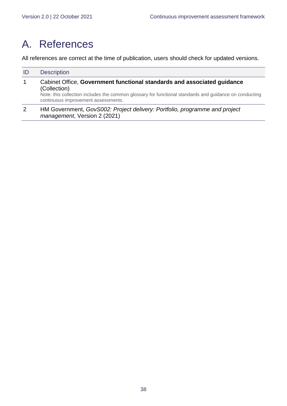# <span id="page-37-0"></span>A. References

All references are correct at the time of publication, users should check for updated versions.

| ID | <b>Description</b>                                                                                                                                                                                                                       |
|----|------------------------------------------------------------------------------------------------------------------------------------------------------------------------------------------------------------------------------------------|
| 1  | Cabinet Office, Government functional standards and associated guidance<br>(Collection)<br>Note: this collection includes the common glossary for functional standards and guidance on conducting<br>continuous improvement assessments. |
| 2  | HM Government, GovS002: Project delivery: Portfolio, programme and project<br>management, Version 2 (2021)                                                                                                                               |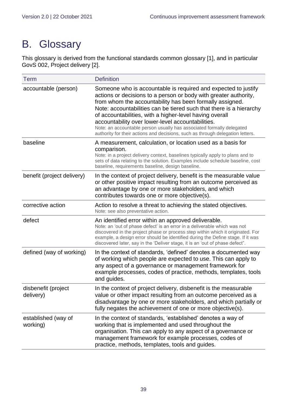# <span id="page-38-0"></span>B. Glossary

This glossary is derived from the functional standards common glossary [1], and in particular GovS 002, Project delivery [2].

| <b>Term</b>                      | <b>Definition</b>                                                                                                                                                                                                                                                                                                                                                                                                                                                                                                                                |
|----------------------------------|--------------------------------------------------------------------------------------------------------------------------------------------------------------------------------------------------------------------------------------------------------------------------------------------------------------------------------------------------------------------------------------------------------------------------------------------------------------------------------------------------------------------------------------------------|
| accountable (person)             | Someone who is accountable is required and expected to justify<br>actions or decisions to a person or body with greater authority,<br>from whom the accountability has been formally assigned.<br>Note: accountabilities can be tiered such that there is a hierarchy<br>of accountabilities, with a higher-level having overall<br>accountability over lower-level accountabilities.<br>Note: an accountable person usually has associated formally delegated<br>authority for their actions and decisions, such as through delegation letters. |
| baseline                         | A measurement, calculation, or location used as a basis for<br>comparison.<br>Note: in a project delivery context, baselines typically apply to plans and to<br>sets of data relating to the solution. Examples include schedule baseline, cost<br>baseline, requirements baseline, design baseline.                                                                                                                                                                                                                                             |
| benefit (project delivery)       | In the context of project delivery, benefit is the measurable value<br>or other positive impact resulting from an outcome perceived as<br>an advantage by one or more stakeholders, and which<br>contributes towards one or more objective(s).                                                                                                                                                                                                                                                                                                   |
| corrective action                | Action to resolve a threat to achieving the stated objectives.<br>Note: see also preventative action.                                                                                                                                                                                                                                                                                                                                                                                                                                            |
| defect                           | An identified error within an approved deliverable.<br>Note: an 'out of phase defect' is an error in a deliverable which was not<br>discovered in the project phase or process step within which it originated. For<br>example, a design error should be identified during the Define stage. If it was<br>discovered later, say in the 'Deliver stage, it is an 'out of phase defect".                                                                                                                                                           |
| defined (way of working)         | In the context of standards, 'defined' denotes a documented way<br>of working which people are expected to use. This can apply to<br>any aspect of a governance or management framework for<br>example processes, codes of practice, methods, templates, tools<br>and guides.                                                                                                                                                                                                                                                                    |
| disbenefit (project<br>delivery) | In the context of project delivery, disbenefit is the measurable<br>value or other impact resulting from an outcome perceived as a<br>disadvantage by one or more stakeholders, and which partially or<br>fully negates the achievement of one or more objective(s).                                                                                                                                                                                                                                                                             |
| established (way of<br>working)  | In the context of standards, 'established' denotes a way of<br>working that is implemented and used throughout the<br>organisation. This can apply to any aspect of a governance or<br>management framework for example processes, codes of<br>practice, methods, templates, tools and guides.                                                                                                                                                                                                                                                   |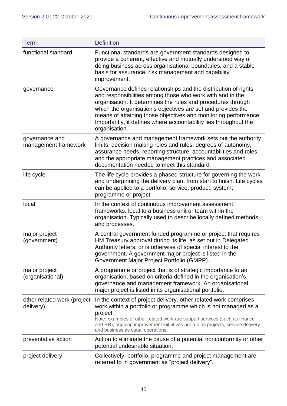| <b>Term</b>                              | <b>Definition</b>                                                                                                                                                                                                                                                                                                                                                                                                    |
|------------------------------------------|----------------------------------------------------------------------------------------------------------------------------------------------------------------------------------------------------------------------------------------------------------------------------------------------------------------------------------------------------------------------------------------------------------------------|
| functional standard                      | Functional standards are government standards designed to<br>provide a coherent, effective and mutually understood way of<br>doing business across organisational boundaries, and a stable<br>basis for assurance, risk management and capability<br>improvement.                                                                                                                                                    |
| governance                               | Governance defines relationships and the distribution of rights<br>and responsibilities among those who work with and in the<br>organisation. It determines the rules and procedures through<br>which the organisation's objectives are set and provides the<br>means of attaining those objectives and monitoring performance.<br>Importantly, it defines where accountability lies throughout the<br>organisation. |
| governance and<br>management framework   | A governance and management framework sets out the authority<br>limits, decision making roles and rules, degrees of autonomy,<br>assurance needs, reporting structure, accountabilities and roles,<br>and the appropriate management practices and associated<br>documentation needed to meet this standard.                                                                                                         |
| life cycle                               | The life cycle provides a phased structure for governing the work<br>and underpinning the delivery plan, from start to finish. Life cycles<br>can be applied to a portfolio, service, product, system,<br>programme or project.                                                                                                                                                                                      |
| local                                    | In the context of continuous improvement assessment<br>frameworks: local to a business unit or team within the<br>organisation. Typically used to describe locally defined methods<br>and processes.                                                                                                                                                                                                                 |
| major project<br>(government)            | A central government funded programme or project that requires<br>HM Treasury approval during its life, as set out in Delegated<br>Authority letters, or is otherwise of special interest to the<br>government. A government major project is listed in the<br>Government Major Project Portfolio (GMPP).                                                                                                            |
| major project<br>(organisational)        | A programme or project that is of strategic importance to an<br>organisation, based on criteria defined in the organisation's<br>governance and management framework. An organisational<br>major project is listed in its organisational portfolio.                                                                                                                                                                  |
| other related work (project<br>delivery) | In the context of project delivery, other related work comprises<br>work within a portfolio or programme which is not managed as a<br>project.<br>Note: examples of other related work are support services (such as finance<br>and HR), ongoing improvement initiatives not run as projects, service delivery<br>and business as usual operations.                                                                  |
| preventative action                      | Action to eliminate the cause of a potential nonconformity or other<br>potential undesirable situation.                                                                                                                                                                                                                                                                                                              |
| project delivery                         | Collectively, portfolio, programme and project management are<br>referred to in government as "project delivery".                                                                                                                                                                                                                                                                                                    |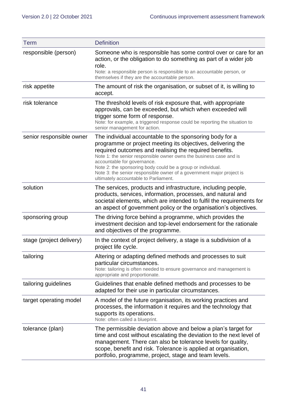| <b>Term</b>              | <b>Definition</b>                                                                                                                                                                                                                                                                                                                                                                                                                                                      |
|--------------------------|------------------------------------------------------------------------------------------------------------------------------------------------------------------------------------------------------------------------------------------------------------------------------------------------------------------------------------------------------------------------------------------------------------------------------------------------------------------------|
| responsible (person)     | Someone who is responsible has some control over or care for an<br>action, or the obligation to do something as part of a wider job<br>role.<br>Note: a responsible person is responsible to an accountable person, or<br>themselves if they are the accountable person.                                                                                                                                                                                               |
| risk appetite            | The amount of risk the organisation, or subset of it, is willing to<br>accept.                                                                                                                                                                                                                                                                                                                                                                                         |
| risk tolerance           | The threshold levels of risk exposure that, with appropriate<br>approvals, can be exceeded, but which when exceeded will<br>trigger some form of response.<br>Note: for example, a triggered response could be reporting the situation to<br>senior management for action.                                                                                                                                                                                             |
| senior responsible owner | The individual accountable to the sponsoring body for a<br>programme or project meeting its objectives, delivering the<br>required outcomes and realising the required benefits.<br>Note 1: the senior responsible owner owns the business case and is<br>accountable for governance.<br>Note 2: the sponsoring body could be a group or individual.<br>Note 3: the senior responsible owner of a government major project is<br>ultimately accountable to Parliament. |
| solution                 | The services, products and infrastructure, including people,<br>products, services, information, processes, and natural and<br>societal elements, which are intended to fulfil the requirements for<br>an aspect of government policy or the organisation's objectives.                                                                                                                                                                                                |
| sponsoring group         | The driving force behind a programme, which provides the<br>investment decision and top-level endorsement for the rationale<br>and objectives of the programme.                                                                                                                                                                                                                                                                                                        |
| stage (project delivery) | In the context of project delivery, a stage is a subdivision of a<br>project life cycle.                                                                                                                                                                                                                                                                                                                                                                               |
| tailoring                | Altering or adapting defined methods and processes to suit<br>particular circumstances.<br>Note: tailoring is often needed to ensure governance and management is<br>appropriate and proportionate.                                                                                                                                                                                                                                                                    |
| tailoring guidelines     | Guidelines that enable defined methods and processes to be<br>adapted for their use in particular circumstances.                                                                                                                                                                                                                                                                                                                                                       |
| target operating model   | A model of the future organisation, its working practices and<br>processes, the information it requires and the technology that<br>supports its operations.<br>Note: often called a blueprint.                                                                                                                                                                                                                                                                         |
| tolerance (plan)         | The permissible deviation above and below a plan's target for<br>time and cost without escalating the deviation to the next level of<br>management. There can also be tolerance levels for quality,<br>scope, benefit and risk. Tolerance is applied at organisation,<br>portfolio, programme, project, stage and team levels.                                                                                                                                         |